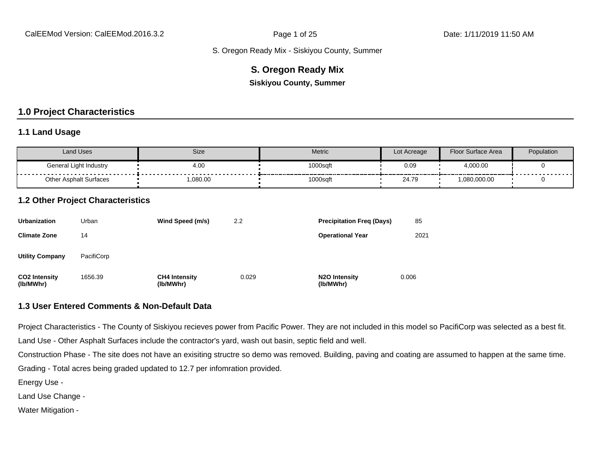#### **S. Oregon Ready Mix**

**Siskiyou County, Summer**

#### **1.0 Project Characteristics**

#### **1.1 Land Usage**

| <b>Land Uses</b>              | Size      | <b>Metric</b> | Lot Acreage | Floor Surface Area | Population                |
|-------------------------------|-----------|---------------|-------------|--------------------|---------------------------|
| General Light Industry        | 4.00<br>. | 1000sqft      | 0.09        | 4,000.00           | - - - - - - - - - - - - - |
| <b>Other Asphalt Surfaces</b> | 080.00.   | 1000sqft      | 24.79       | 1,080,000.00       |                           |

#### **1.2 Other Project Characteristics**

| <b>Urbanization</b>               | Urban      | Wind Speed (m/s)                  | 2.2   | <b>Precipitation Freg (Days)</b>        | 85    |
|-----------------------------------|------------|-----------------------------------|-------|-----------------------------------------|-------|
| <b>Climate Zone</b>               | 14         |                                   |       | <b>Operational Year</b>                 | 2021  |
| <b>Utility Company</b>            | PacifiCorp |                                   |       |                                         |       |
| <b>CO2 Intensity</b><br>(lb/MWhr) | 1656.39    | <b>CH4 Intensity</b><br>(lb/MWhr) | 0.029 | N <sub>2</sub> O Intensity<br>(lb/MWhr) | 0.006 |

#### **1.3 User Entered Comments & Non-Default Data**

Project Characteristics - The County of Siskiyou recieves power from Pacific Power. They are not included in this model so PacifiCorp was selected as a best fit.

Land Use - Other Asphalt Surfaces include the contractor's yard, wash out basin, septic field and well.

Construction Phase - The site does not have an exisiting structre so demo was removed. Building, paving and coating are assumed to happen at the same time.

Grading - Total acres being graded updated to 12.7 per infomration provided.

Energy Use -

Land Use Change -

Water Mitigation -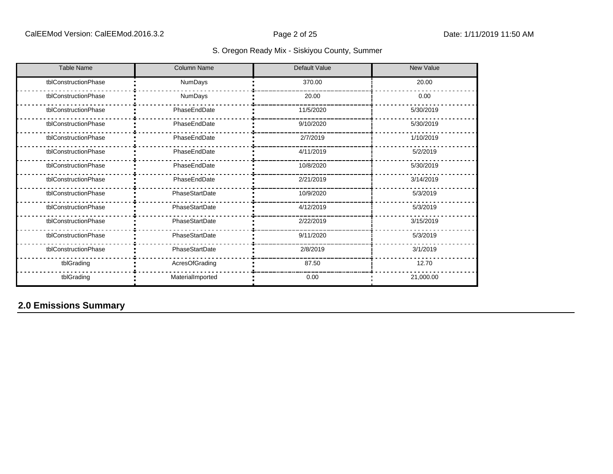| <b>Table Name</b>    | <b>Column Name</b> | <b>Default Value</b> | <b>New Value</b> |
|----------------------|--------------------|----------------------|------------------|
| tblConstructionPhase | NumDays            | 370.00               | 20.00            |
| tblConstructionPhase | NumDays            | 20.00                | 0.00             |
| tblConstructionPhase | PhaseEndDate       | 11/5/2020            | 5/30/2019        |
| tblConstructionPhase | PhaseEndDate       | 9/10/2020            | 5/30/2019        |
| tblConstructionPhase | PhaseEndDate       | 2/7/2019             | 1/10/2019        |
| tblConstructionPhase | PhaseEndDate       | 4/11/2019            | 5/2/2019         |
| tblConstructionPhase | PhaseEndDate       | 10/8/2020            | 5/30/2019        |
| tblConstructionPhase | PhaseEndDate       | 2/21/2019            | 3/14/2019        |
| tblConstructionPhase | PhaseStartDate     | 10/9/2020            | 5/3/2019         |
| tblConstructionPhase | PhaseStartDate     | 4/12/2019            | 5/3/2019         |
| tblConstructionPhase | PhaseStartDate     | 2/22/2019            | 3/15/2019        |
| tblConstructionPhase | PhaseStartDate     | 9/11/2020            | 5/3/2019         |
| tblConstructionPhase | PhaseStartDate     | 2/8/2019             | 3/1/2019         |
| tblGrading           | AcresOfGrading     | 87.50                | 12.70            |
| tblGrading           | MaterialImported   | 0.00                 | 21,000.00        |

## **2.0 Emissions Summary**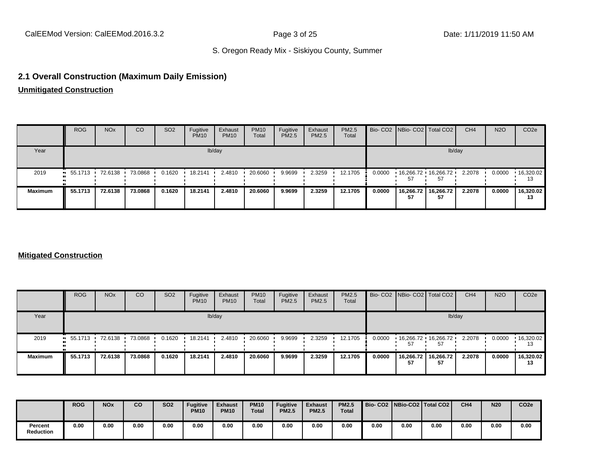#### **2.1 Overall Construction (Maximum Daily Emission)**

**Unmitigated Construction**

|                | <b>ROG</b>                                                           | <b>NO<sub>x</sub></b> | <sub>CO</sub> | SO <sub>2</sub> | Fugitive<br><b>PM10</b> | Exhaust<br><b>PM10</b> | <b>PM10</b><br>Total | Fugitive<br>PM2.5 | Exhaust<br><b>PM2.5</b> | <b>PM2.5</b><br>Total |        | Bio- CO2   NBio- CO2   Total CO2                  |                 | CH <sub>4</sub> | <b>N2O</b> | CO <sub>2</sub> e       |
|----------------|----------------------------------------------------------------------|-----------------------|---------------|-----------------|-------------------------|------------------------|----------------------|-------------------|-------------------------|-----------------------|--------|---------------------------------------------------|-----------------|-----------------|------------|-------------------------|
| Year           |                                                                      |                       |               |                 |                         | lb/day                 |                      |                   |                         |                       |        |                                                   | lb/day          |                 |            |                         |
| 2019           | $\blacksquare$ 55.1713 $\blacksquare$ 72.6138 $\blacksquare$ 73.0868 |                       |               | 0.1620          | 18.2141                 | 2.4810                 | 20.6060              | 9.9699            | 2.3259                  | 12.1705               | 0.0000 | $\cdot$ 16,266.72 $\cdot$ 16,266.72 $\cdot$<br>57 | 57              | 2.2078          | 0.0000     | $\cdot$ 16,320.02<br>13 |
| <b>Maximum</b> | 55.1713                                                              | 72.6138               | 73.0868       | 0.1620          | 18.2141                 | 2.4810                 | 20.6060              | 9.9699            | 2.3259                  | 12.1705               | 0.0000 | 16,266.72<br>57                                   | 16,266.72<br>57 | 2.2078          | 0.0000     | 16,320.02<br>13         |

#### **Mitigated Construction**

|                | <b>ROG</b>             | <b>NO<sub>x</sub></b> | CO              | SO <sub>2</sub> | Fugitive<br><b>PM10</b> | Exhaust<br><b>PM10</b> | <b>PM10</b><br>Total | Fugitive<br><b>PM2.5</b> | Exhaust<br>PM2.5 | PM2.5<br>Total |        | Bio- CO2   NBio- CO2   Total CO2 |                 | CH <sub>4</sub> | <b>N2O</b> | CO <sub>2</sub> e   |
|----------------|------------------------|-----------------------|-----------------|-----------------|-------------------------|------------------------|----------------------|--------------------------|------------------|----------------|--------|----------------------------------|-----------------|-----------------|------------|---------------------|
| Year           |                        |                       |                 |                 |                         | lb/day                 |                      |                          |                  |                |        |                                  | lb/day          |                 |            |                     |
| 2019           | $\blacksquare$ 55.1713 |                       | 72.6138 73.0868 | 0.1620          | 18.2141                 | 2.4810                 | 20.6060              | 9.9699                   | 2.3259           | 12.1705        | 0.0000 | 16,266.72 16,266.72<br>57        | 57              | 2.2078          | 0.0000     | ▪ 16,320.02 │<br>13 |
| <b>Maximum</b> | 55.1713                | 72.6138               | 73.0868         | 0.1620          | 18.2141                 | 2.4810                 | 20.6060              | 9.9699                   | 2.3259           | 12.1705        | 0.0000 | 16,266.72<br>57                  | 16,266.72<br>57 | 2.2078          | 0.0000     | 16,320.02<br>13     |

|                             | <b>ROG</b> | <b>NOx</b> | co   | <b>SO2</b> | <b>Fugitive</b><br><b>PM10</b> | <b>Exhaust</b><br><b>PM10</b> | <b>PM10</b><br><b>Total</b> | <b>Fugitive</b><br><b>PM2.5</b> | <b>Exhaust</b><br><b>PM2.5</b> | <b>PM2.5</b><br><b>Total</b> | Bio- CO2   NBio-CO2   Total CO2 |      |      | CH <sub>4</sub> | <b>N20</b> | CO <sub>2e</sub> |
|-----------------------------|------------|------------|------|------------|--------------------------------|-------------------------------|-----------------------------|---------------------------------|--------------------------------|------------------------------|---------------------------------|------|------|-----------------|------------|------------------|
| Percent<br><b>Reduction</b> | 0.00       | 0.00       | 0.00 | 0.00       | 0.00                           | 0.00                          | 0.00                        | 0.00                            | 0.00                           | 0.00                         | 0.00                            | 0.00 | 0.00 | 0.00            | 0.00       | 0.00             |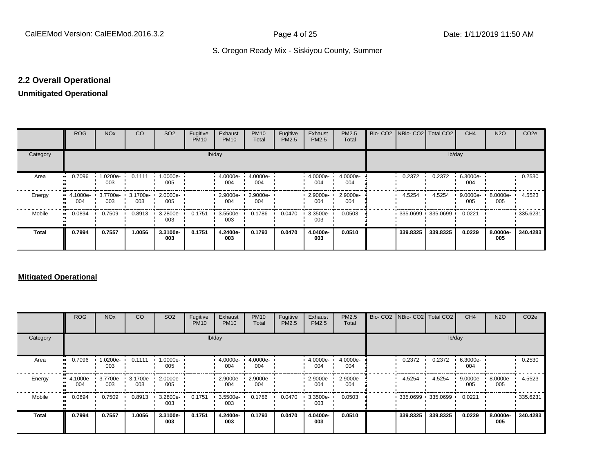#### **2.2 Overall Operational**

#### **Unmitigated Operational**

|              | <b>ROG</b>                                     | <b>NO<sub>x</sub></b> | CO     | SO <sub>2</sub> | Fugitive<br><b>PM10</b> | Exhaust<br><b>PM10</b> | <b>PM10</b><br>Total | Fugitive<br>PM2.5 | Exhaust<br>PM2.5 | PM2.5<br>Total  | Bio- CO2   NBio- CO2   Total CO2 |                   | CH <sub>4</sub>    | <b>N2O</b>      | CO <sub>2e</sub> |
|--------------|------------------------------------------------|-----------------------|--------|-----------------|-------------------------|------------------------|----------------------|-------------------|------------------|-----------------|----------------------------------|-------------------|--------------------|-----------------|------------------|
| Category     |                                                |                       |        |                 |                         | lb/day                 |                      |                   |                  |                 |                                  | lb/day            |                    |                 |                  |
| Area         | 0.7096<br>                                     | 1.0200e-<br>003       | 0.1111 | 1.0000e-<br>005 |                         | $4.0000e -$<br>004     | 4.0000e-<br>004      |                   | 4.0000e-<br>004  | 4.0000e-<br>004 | 0.2372                           | 0.2372            | 6.3000e-<br>004    |                 | 0.2530           |
| Energy       | 4.1000e- 0 3.7700e- 3.1700e- 2.0000e- 0<br>004 | 003                   | 003    | 005             |                         | 2.9000e- ·<br>004      | 2.9000e-<br>004      |                   | 2.9000e-<br>004  | 2.9000e-<br>004 | 4.5254                           | 4.5254            | $9.0000e -$<br>005 | 8.0000e-<br>005 | 4.5523           |
| Mobile       | 0.0894<br>                                     | 0.7509                | 0.8913 | 3.2800e-<br>003 | 0.1751                  | 3.5500e-<br>003        | 0.1786               | 0.0470            | 3.3500e-<br>003  | 0.0503          |                                  | 335.0699 335.0699 | 0.0221             |                 | $-335.6231$      |
| <b>Total</b> | 0.7994                                         | 0.7557                | 1.0056 | 3.3100e-<br>003 | 0.1751                  | 4.2400e-<br>003        | 0.1793               | 0.0470            | 4.0400e-<br>003  | 0.0510          | 339.8325                         | 339.8325          | 0.0229             | 8.0000e-<br>005 | 340.4283         |

#### **Mitigated Operational**

|          | ROG             | <b>NO<sub>x</sub></b> | CO              | SO <sub>2</sub> | Fugitive<br><b>PM10</b> | Exhaust<br><b>PM10</b> | <b>PM10</b><br>Total | Fugitive<br>PM2.5 | Exhaust<br>PM2.5  | PM2.5<br>Total  |          | Bio- CO2 NBio- CO2 Total CO2              | CH <sub>4</sub>    | <b>N2O</b>      | CO <sub>2e</sub> |
|----------|-----------------|-----------------------|-----------------|-----------------|-------------------------|------------------------|----------------------|-------------------|-------------------|-----------------|----------|-------------------------------------------|--------------------|-----------------|------------------|
| Category |                 |                       |                 |                 |                         | lb/day                 |                      |                   |                   |                 |          |                                           | lb/day             |                 |                  |
| Area     | 0.7096          | 1.0200e- ·<br>003     | 0.1111          | 1.0000e-<br>005 |                         | $4.0000e -$<br>004     | 4.0000e-<br>004      |                   | 4.0000e- ·<br>004 | 4.0000e-<br>004 | 0.2372   | 0.2372                                    | 6.3000e-<br>004    |                 | 0.2530           |
| Energy   | 4.1000e-<br>004 | 3.7700e-<br>003       | 3.1700e-<br>003 | 2.0000e-<br>005 |                         | 2.9000e-<br>004        | 2.9000e-<br>004      |                   | 2.9000e-<br>004   | 2.9000e-<br>004 | 4.5254   | 4.5254                                    | $9.0000e -$<br>005 | 8.0000e-<br>005 | 4.5523           |
| Mobile   | 0.0894          | 0.7509                | 0.8913          | 3.2800e-<br>003 | 0.1751                  | 3.5500e-<br>003        | 0.1786               | 0.0470            | $3.3500e-$<br>003 | 0.0503          |          | $\cdot$ 335.0699 $\cdot$ 335.0699 $\cdot$ | 0.0221             |                 | 335.6231         |
| Total    | 0.7994          | 0.7557                | 1.0056          | 3.3100e-<br>003 | 0.1751                  | 4.2400e-<br>003        | 0.1793               | 0.0470            | 4.0400e-<br>003   | 0.0510          | 339.8325 | 339.8325                                  | 0.0229             | 8.0000e-<br>005 | 340.4283         |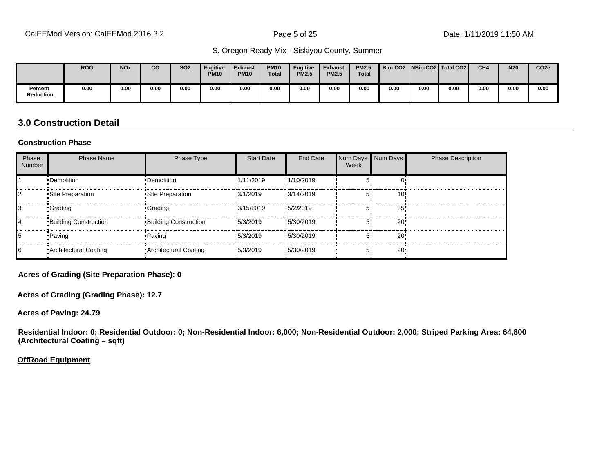|                      | <b>ROG</b> | <b>NO<sub>x</sub></b> | <b>CO</b> | <b>SO2</b> | <b>Fugitive</b><br><b>PM10</b> | <b>Exhaust</b><br><b>PM10</b> | <b>PM10</b><br><b>Total</b> | <b>Fugitive</b><br><b>PM2.5</b> | <b>Exhaust</b><br><b>PM2.5</b> | <b>PM2.5</b><br><b>Total</b> | Bio-CO2   NBio-CO2   Total CO2 |      |      | CH <sub>4</sub> | <b>N20</b> | CO <sub>2e</sub> |
|----------------------|------------|-----------------------|-----------|------------|--------------------------------|-------------------------------|-----------------------------|---------------------------------|--------------------------------|------------------------------|--------------------------------|------|------|-----------------|------------|------------------|
| Percent<br>Reduction | 0.00       | 0.00                  | 0.00      | 0.00       | 0.00                           | 0.00                          | 0.00                        | 0.00                            | 0.00                           | 0.00                         | 0.00                           | 0.00 | 0.00 | 0.00            | 0.00       | 0.00             |

#### **3.0 Construction Detail**

#### **Construction Phase**

| Phase<br>Number | <b>Phase Name</b>            | Phase Type                   | <b>Start Date</b> | <b>End Date</b> | Num Days<br>Week | Num Days        | <b>Phase Description</b> |
|-----------------|------------------------------|------------------------------|-------------------|-----------------|------------------|-----------------|--------------------------|
|                 | •Demolition                  | •Demolition                  | 1/11/2019         | !1/10/2019      |                  |                 |                          |
|                 | Site Preparation             | Site Preparation             | 13/1/2019         | !3/14/2019      |                  | 10'             |                          |
|                 | •Grading                     | <b>Grading</b>               | 13/15/2019        | !5/2/2019       |                  | 35              |                          |
| 14              | <b>Building Construction</b> | <b>Building Construction</b> | 15/3/2019         | !5/30/2019      |                  | 20!             |                          |
| 15              | • Paving                     | <b>Paving</b>                | 15/3/2019         | !5/30/2019      | 5'               | 20!             |                          |
| 16              | • Architectural Coating      | Architectural Coating        | 15/3/2019         | .5/30/2019      | 5'               | 20 <sup>1</sup> |                          |

**Acres of Grading (Site Preparation Phase): 0**

**Acres of Grading (Grading Phase): 12.7**

**Acres of Paving: 24.79**

**Residential Indoor: 0; Residential Outdoor: 0; Non-Residential Indoor: 6,000; Non-Residential Outdoor: 2,000; Striped Parking Area: 64,800 (Architectural Coating – sqft)**

**OffRoad Equipment**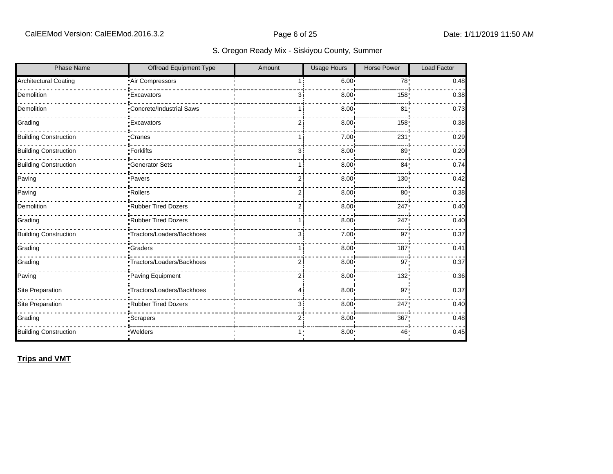| <b>Phase Name</b>            | Offroad Equipment Type    | Amount         | <b>Usage Hours</b> | <b>Horse Power</b> | Load Factor |
|------------------------------|---------------------------|----------------|--------------------|--------------------|-------------|
| <b>Architectural Coating</b> | Air Compressors           |                | 6.00:              | 78 <sub>1</sub>    | 0.48        |
| Demolition                   | <b>Excavators</b>         | 3i             | 8.00               | 158                | 0.38        |
| Demolition                   | Concrete/Industrial Saws  | 1 i            | 8.00 <sub>1</sub>  | 81 <sub>2</sub>    | 0.73        |
| Grading                      | <b>Excavators</b>         | ا 2            | 8.00 <sub>1</sub>  | 158                | 0.38        |
| <b>Building Construction</b> | Cranes                    | 1 i            | 7.00 <sub>1</sub>  | 231                | 0.29        |
| <b>Building Construction</b> | -Forklifts                | 3              | 8.00               | 89 <sub>1</sub>    | 0.20        |
| <b>Building Construction</b> | <b>Generator Sets</b>     |                | 8.00               | 84 <sub>1</sub>    | 0.74        |
| Paving                       | ·Pavers                   | 2 <sub>1</sub> | 8.00               | 130!               | 0.42        |
| Paving                       | -Rollers                  | $\overline{2}$ | 8.00               | 80                 | 0.38        |
| Demolition                   | Rubber Tired Dozers       | 2i             | 8.00 <sub>1</sub>  | 247                | 0.40        |
| Grading                      | .Rubber Tired Dozers      | 1 i            | 8.00               | 247!               | 0.40        |
| <b>Building Construction</b> | Tractors/Loaders/Backhoes | Зi             | 7.00:              | 97:                | 0.37        |
| Grading                      | <b>Graders</b>            |                | 8.00               | 187                | 0.41        |
| Grading                      | Tractors/Loaders/Backhoes | $\overline{2}$ | 8.00               | 97 <sub>1</sub>    | 0.37        |
| Paving                       | Paving Equipment          | 2i             | 8.00               | 132!               | 0.36        |
| Site Preparation             | Tractors/Loaders/Backhoes | 41             | 8.00               | 97 <sub>1</sub>    | 0.37        |
| <b>Site Preparation</b>      | Rubber Tired Dozers       | з:             | 8.00 <sub>1</sub>  | 247                | 0.40        |
| Grading                      | Scrapers                  | $\overline{2}$ | 8.00 <sub>1</sub>  | 367                | 0.48        |
| <b>Building Construction</b> | · Welders                 | 1:             | 8.00:              | 46:                | 0.45        |

**Trips and VMT**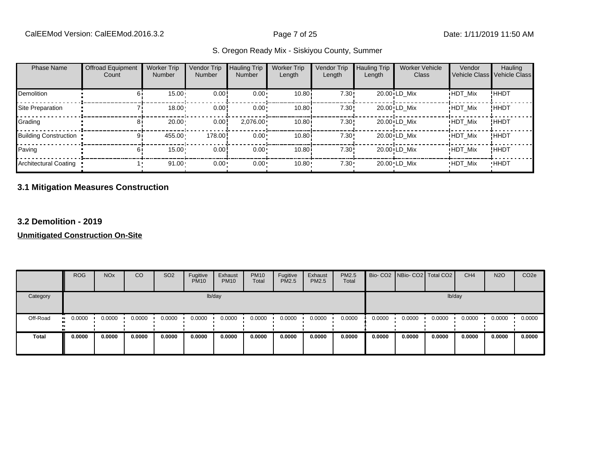| <b>Phase Name</b>            | <b>Offroad Equipment</b><br>Count | <b>Worker Trip</b><br>Number | Vendor Trip<br>Number | Hauling Trip<br><b>Number</b> | <b>Worker Trip</b><br>Length | Vendor Trip<br>Length | <b>Hauling Trip</b><br>Length | <b>Worker Vehicle</b><br><b>Class</b> | Vendor<br>Vehicle Class Vehicle Class | Hauling     |
|------------------------------|-----------------------------------|------------------------------|-----------------------|-------------------------------|------------------------------|-----------------------|-------------------------------|---------------------------------------|---------------------------------------|-------------|
| <b>Demolition</b>            |                                   | 15.00                        | 0.00                  | $0.00 \cdot$                  | 10.80i                       | 7.30!                 |                               | 20.00 LD Mix                          | <b>HDT Mix</b>                        | !HHDT       |
| Site Preparation             |                                   | 18.00                        | 0.00!                 | $0.00 \cdot$                  | 10.80 <sup>i</sup>           | 7.30!                 |                               | 20.00 LD Mix                          | <b>HDT Mix</b>                        | !HHDT       |
| Grading                      |                                   | 20.00                        | 0.00!                 | $2,076.00 \cdot$              | 10.80i                       | 7.30!                 |                               | 20.00 LD Mix                          | <b>HDT Mix</b>                        | !HHDT       |
| <b>Building Construction</b> |                                   | 455.00                       | 178.00                | $0.00 \cdot$                  | 10.80i                       | 7.30!                 |                               | 20.00 LD Mix                          | <b>HDT Mix</b>                        | !HHDT       |
| Paving                       |                                   | $15.00 -$                    | 0.00!                 | $0.00 \cdot$                  | 10.80i                       | 7.30!                 |                               | 20.00 LD Mix                          | <b>HDT Mix</b>                        | !HHDT       |
| Architectural Coating        |                                   | $91.00 -$                    | $0.00 -$              | 0.00                          | 10.80                        | $7.30 \cdot$          |                               | 20.00 LD Mix                          | <b>HDT Mix</b>                        | <b>HHDT</b> |

#### **3.1 Mitigation Measures Construction**

#### **3.2 Demolition - 2019**

|          | <b>ROG</b>   | <b>NO<sub>x</sub></b> | CO     | SO <sub>2</sub> | Fugitive<br><b>PM10</b> | Exhaust<br><b>PM10</b> | <b>PM10</b><br>Total | Fugitive<br><b>PM2.5</b> | Exhaust<br>PM2.5 | PM2.5<br>Total |        | Bio- CO2 NBio- CO2 Total CO2 |        | CH <sub>4</sub> | <b>N2O</b> | CO <sub>2e</sub> |
|----------|--------------|-----------------------|--------|-----------------|-------------------------|------------------------|----------------------|--------------------------|------------------|----------------|--------|------------------------------|--------|-----------------|------------|------------------|
| Category |              |                       |        |                 |                         | lb/day                 |                      |                          |                  |                |        |                              |        | lb/day          |            |                  |
| Off-Road | 0.0000<br>ш. | 0.0000                | 0.0000 | 0.0000          | 0.0000                  | 0.0000                 | 0.0000               | 0.0000                   | 0.0000           | 0.0000         | 0.0000 | 0.0000                       | 0.0000 | 0.0000          | 0.0000     | 0.0000           |
| Total    | 0.0000       | 0.0000                | 0.0000 | 0.0000          | 0.0000                  | 0.0000                 | 0.0000               | 0.0000                   | 0.0000           | 0.0000         | 0.0000 | 0.0000                       | 0.0000 | 0.0000          | 0.0000     | 0.0000           |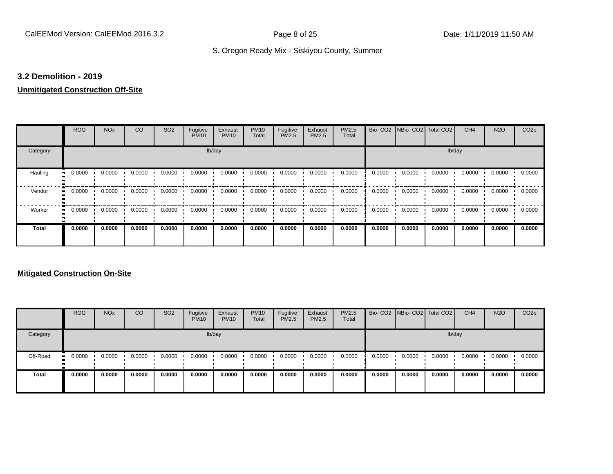#### **3.2 Demolition - 2019**

### **Unmitigated Construction Off-Site**

|                      | <b>ROG</b>                 | <b>NO<sub>x</sub></b> | CO     | SO <sub>2</sub> | Fugitive<br><b>PM10</b> | Exhaust<br><b>PM10</b> | <b>PM10</b><br>Total | Fugitive<br>PM2.5 | Exhaust<br>PM2.5 | PM2.5<br>Total | Bio-CO <sub>2</sub> | NBio- CO2   Total CO2 |        | CH <sub>4</sub> | <b>N2O</b> | CO <sub>2e</sub> |
|----------------------|----------------------------|-----------------------|--------|-----------------|-------------------------|------------------------|----------------------|-------------------|------------------|----------------|---------------------|-----------------------|--------|-----------------|------------|------------------|
| Category             |                            |                       |        |                 |                         | lb/day                 |                      |                   |                  |                |                     |                       | lb/day |                 |            |                  |
| Hauling<br>$\bullet$ | 0.0000                     | 0.0000                | 0.0000 | 0.0000          | 0.0000                  | 0.0000                 | 0.0000               | 0.0000            | 0.0000           | 0.0000         | 0.0000              | 0.0000                | 0.0000 | 0.0000          | 0.0000     | 0.0000           |
| Vendor<br>$\bullet$  | 0.0000                     | 0.0000                | 0.0000 | 0.0000          | 0.0000                  | 0.0000                 | 0.0000               | 0.0000            | 0.0000           | 0.0000         | 0.0000              | 0.0000                | 0.0000 | 0.0000          | 0.0000     | 0.0000           |
| Worker               | 0.0000<br>$\bullet\bullet$ | 0.0000                | 0.0000 | 0.0000          | 0.0000                  | 0.0000                 | 0.0000               | 0.0000            | 0.0000           | 0.0000         | 0.0000              | 0.0000                | 0.0000 | 0.0000          | 0.0000     | 0.0000           |
| <b>Total</b>         | 0.0000                     | 0.0000                | 0.0000 | 0.0000          | 0.0000                  | 0.0000                 | 0.0000               | 0.0000            | 0.0000           | 0.0000         | 0.0000              | 0.0000                | 0.0000 | 0.0000          | 0.0000     | 0.0000           |

|              | <b>ROG</b>           | <b>NO<sub>x</sub></b> | CO     | SO <sub>2</sub> | Fugitive<br><b>PM10</b> | Exhaust<br><b>PM10</b> | <b>PM10</b><br>Total | Fugitive<br><b>PM2.5</b> | Exhaust<br><b>PM2.5</b> | <b>PM2.5</b><br>Total |        | Bio- CO2 NBio- CO2 Total CO2 |        | CH <sub>4</sub> | <b>N2O</b> | CO <sub>2e</sub> |
|--------------|----------------------|-----------------------|--------|-----------------|-------------------------|------------------------|----------------------|--------------------------|-------------------------|-----------------------|--------|------------------------------|--------|-----------------|------------|------------------|
| Category     |                      |                       |        |                 |                         | lb/day                 |                      |                          |                         |                       |        |                              |        | lb/day          |            |                  |
| Off-Road     | 0.0000<br><b>ALC</b> | 0.0000                | 0.0000 | 0.0000          | 0.0000                  | 0.0000                 | 0.0000               | 0.0000                   | 0.0000                  | 0.0000                | 0.0000 | 0.0000                       | 0.0000 | 0.0000          | 0.0000     | 0.0000           |
| <b>Total</b> | 0.0000               | 0.0000                | 0.0000 | 0.0000          | 0.0000                  | 0.0000                 | 0.0000               | 0.0000                   | 0.0000                  | 0.0000                | 0.0000 | 0.0000                       | 0.0000 | 0.0000          | 0.0000     | 0.0000           |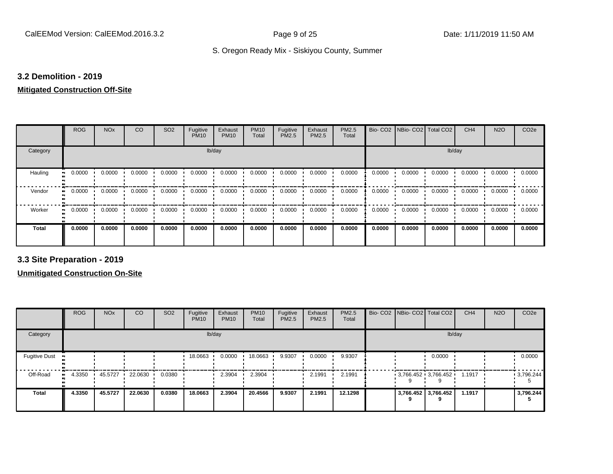#### **3.2 Demolition - 2019**

#### **Mitigated Construction Off-Site**

|              | <b>ROG</b> | <b>NO<sub>x</sub></b> | CO     | SO <sub>2</sub> | Fugitive<br><b>PM10</b> | Exhaust<br><b>PM10</b> | <b>PM10</b><br>Total | Fugitive<br>PM2.5 | Exhaust<br>PM2.5 | PM2.5<br>Total | Bio-CO <sub>2</sub> | NBio- CO2   Total CO2 |        | CH <sub>4</sub> | <b>N2O</b> | CO <sub>2e</sub> |
|--------------|------------|-----------------------|--------|-----------------|-------------------------|------------------------|----------------------|-------------------|------------------|----------------|---------------------|-----------------------|--------|-----------------|------------|------------------|
| Category     |            |                       |        |                 | lb/day                  |                        |                      |                   |                  |                |                     |                       | lb/day |                 |            |                  |
| Hauling      | 0.0000     | 0.0000                | 0.0000 | 0.0000          | 0.0000                  | 0.0000                 | 0.0000               | 0.0000            | 0.0000           | 0.0000         | 0.0000              | 0.0000                | 0.0000 | 0.0000          | 0.0000     | 0.0000           |
| Vendor       | 0.0000     | 0.0000                | 0.0000 | 0.0000          | 0.0000                  | 0.0000                 | 0.0000               | 0.0000            | 0.0000           | 0.0000         | 0.0000              | 0.0000                | 0.0000 | 0.0000          | 0.0000     | 0.0000           |
| Worker       | 0.0000     | 0.0000                | 0.0000 | 0.0000          | 0.0000                  | 0.0000                 | 0.0000               | 0.0000            | 0.0000           | 0.0000         | 0.0000              | 0.0000                | 0.0000 | 0.0000          | 0.0000     | 0.0000           |
| <b>Total</b> | 0.0000     | 0.0000                | 0.0000 | 0.0000          | 0.0000                  | 0.0000                 | 0.0000               | 0.0000            | 0.0000           | 0.0000         | 0.0000              | 0.0000                | 0.0000 | 0.0000          | 0.0000     | 0.0000           |

**3.3 Site Preparation - 2019**

|                                  | <b>ROG</b>          | <b>NO<sub>x</sub></b> | CO      | SO <sub>2</sub> | Fugitive<br><b>PM10</b> | Exhaust<br><b>PM10</b> | <b>PM10</b><br>Total | Fugitive<br><b>PM2.5</b> | Exhaust<br>PM2.5 | PM2.5<br>Total |  | Bio- CO2   NBio- CO2   Total CO2         | CH <sub>4</sub> | <b>N2O</b> | CO <sub>2e</sub> |
|----------------------------------|---------------------|-----------------------|---------|-----------------|-------------------------|------------------------|----------------------|--------------------------|------------------|----------------|--|------------------------------------------|-----------------|------------|------------------|
| Category                         |                     |                       |         |                 |                         | lb/day                 |                      |                          |                  |                |  | lb/day                                   |                 |            |                  |
| <b>Fugitive Dust</b><br><b>D</b> |                     |                       |         |                 | 18.0663                 | 0.0000                 | 18.0663              | 9.9307                   | 0.0000           | 9.9307         |  | 0.0000                                   |                 |            | 0.0000           |
| Off-Road                         | 4.3350<br>$\bullet$ | 45.5727               | 22.0630 | 0.0380          |                         | 2.3904                 | 2.3904               |                          | 2.1991           | 2.1991         |  | $3,766.452 \cdot 3,766.452 \cdot 1.1917$ |                 |            | 9,796.244        |
| <b>Total</b>                     | 4.3350              | 45.5727               | 22.0630 | 0.0380          | 18.0663                 | 2.3904                 | 20.4566              | 9.9307                   | 2.1991           | 12.1298        |  | 3,766.452 3,766.452                      | 1.1917          |            | 3,796.244        |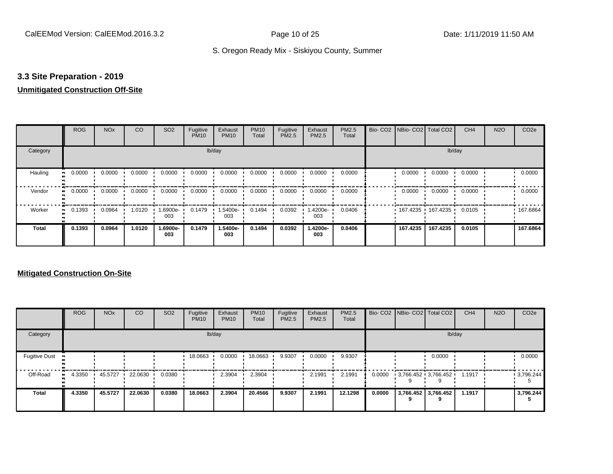#### **3.3 Site Preparation - 2019**

#### **Unmitigated Construction Off-Site**

|                      | <b>ROG</b>                 | <b>NO<sub>x</sub></b> | CO     | SO <sub>2</sub> | Fugitive<br><b>PM10</b> | Exhaust<br><b>PM10</b> | <b>PM10</b><br>Total | Fugitive<br>PM2.5 | Exhaust<br>PM2.5 | PM2.5<br>Total | Bio- CO2 NBio- CO2 Total CO2 |                     | CH <sub>4</sub> | <b>N2O</b> | CO <sub>2e</sub> |
|----------------------|----------------------------|-----------------------|--------|-----------------|-------------------------|------------------------|----------------------|-------------------|------------------|----------------|------------------------------|---------------------|-----------------|------------|------------------|
| Category             |                            |                       |        |                 |                         | lb/day                 |                      |                   |                  |                |                              |                     | lb/day          |            |                  |
| Hauling<br>$\bullet$ | 0.0000                     | 0.0000                | 0.0000 | 0.0000          | 0.0000                  | 0.0000                 | 0.0000               | 0.0000            | 0.0000           | 0.0000         | 0.0000                       | 0.0000              | 0.0000          |            | 0.0000           |
| Vendor               | 0.0000<br>$\bullet\bullet$ | 0.0000                | 0.0000 | 0.0000          | 0.0000                  | 0.0000                 | 0.0000               | 0.0000            | 0.0000           | 0.0000         | 0.0000                       | 0.0000              | 0.0000          |            | 0.0000           |
| Worker<br>$\bullet$  | 0.1393                     | 0.0964                | 1.0120 | 1.6900e-<br>003 | 0.1479                  | 1.5400e-<br>003        | 0.1494               | 0.0392            | .4200e-<br>003   | 0.0406         |                              | 167.4235 167.4235 1 | 0.0105          |            | .167.6864        |
| <b>Total</b>         | 0.1393                     | 0.0964                | 1.0120 | 1.6900e-<br>003 | 0.1479                  | 1.5400e-<br>003        | 0.1494               | 0.0392            | 1.4200e-<br>003  | 0.0406         | 167.4235                     | 167.4235            | 0.0105          |            | 167.6864         |

|                      | <b>ROG</b> | <b>NO<sub>x</sub></b> | CO      | SO <sub>2</sub> | Fugitive<br><b>PM10</b> | Exhaust<br><b>PM10</b> | <b>PM10</b><br>Total | Fugitive<br><b>PM2.5</b> | Exhaust<br><b>PM2.5</b> | PM2.5<br>Total |        | Bio- CO2   NBio- CO2   Total CO2 | CH <sub>4</sub> | <b>N2O</b> | CO <sub>2e</sub> |
|----------------------|------------|-----------------------|---------|-----------------|-------------------------|------------------------|----------------------|--------------------------|-------------------------|----------------|--------|----------------------------------|-----------------|------------|------------------|
| Category             |            |                       |         |                 |                         | lb/day                 |                      |                          |                         |                |        | lb/day                           |                 |            |                  |
| <b>Fugitive Dust</b> |            |                       |         |                 | 18.0663                 | 0.0000                 | 18.0663              | 9.9307                   | 0.0000                  | 9.9307         |        | 0.0000                           |                 |            | 0.0000           |
| Off-Road             | 4.3350     | 45.5727               | 22.0630 | 0.0380          |                         | 2.3904                 | 2.3904               |                          | 2.1991                  | 2.1991         | 0.0000 | $3,766.452$ $3,766.452$          | 1.1917          |            | .3796.244        |
| <b>Total</b>         | 4.3350     | 45.5727               | 22.0630 | 0.0380          | 18.0663                 | 2.3904                 | 20.4566              | 9.9307                   | 2.1991                  | 12.1298        | 0.0000 | 3,766.452 3,766.452<br>9         | 1.1917          |            | 3,796.244        |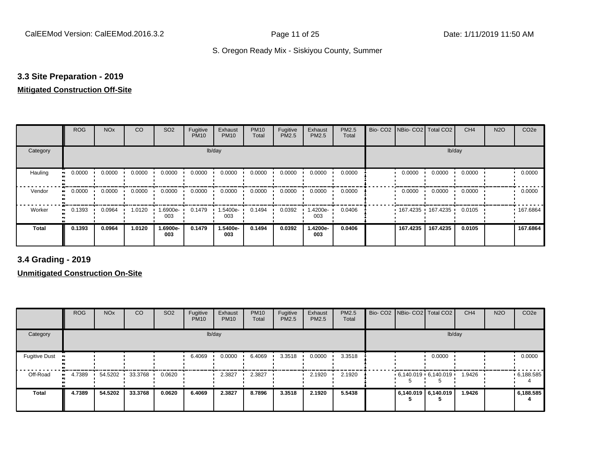#### **3.3 Site Preparation - 2019**

#### **Mitigated Construction Off-Site**

|                           | <b>ROG</b> | <b>NO<sub>x</sub></b> | CO     | SO <sub>2</sub> | Fugitive<br><b>PM10</b> | Exhaust<br><b>PM10</b> | <b>PM10</b><br>Total | Fugitive<br>PM2.5 | Exhaust<br>PM2.5 | PM2.5<br>Total | Bio- CO2   NBio- CO2   Total CO2 |                     | CH <sub>4</sub> | <b>N2O</b> | CO <sub>2e</sub> |
|---------------------------|------------|-----------------------|--------|-----------------|-------------------------|------------------------|----------------------|-------------------|------------------|----------------|----------------------------------|---------------------|-----------------|------------|------------------|
| Category                  |            |                       |        |                 | lb/day                  |                        |                      |                   |                  |                |                                  | lb/day              |                 |            |                  |
| Hauling<br>$\blacksquare$ | 0.0000     | 0.0000                | 0.0000 | 0.0000          | 0.0000                  | 0.0000                 | 0.0000               | 0.0000            | 0.0000           | 0.0000         | 0.0000                           | 0.0000              | 0.0000          |            | 0.0000           |
| Vendor<br>$\bullet$       | 0.0000     | 0.0000                | 0.0000 | 0.0000          | 0.0000                  | 0.0000                 | 0.0000               | 0.0000            | 0.0000           | 0.0000         | 0.0000                           | 0.0000              | 0.0000          |            | 0.0000           |
| Worker<br>$\bullet$       | 0.1393     | 0.0964                | 1.0120 | --6900e.<br>003 | 0.1479                  | 1.5400e-<br>003        | 0.1494               | 0.0392            | -4200e-<br>003   | 0.0406         |                                  | 167.4235 167.4235 ' | 0.0105          |            | .167.6864        |
| <b>Total</b>              | 0.1393     | 0.0964                | 1.0120 | 1.6900e-<br>003 | 0.1479                  | 1.5400e-<br>003        | 0.1494               | 0.0392            | 1.4200e-<br>003  | 0.0406         | 167.4235                         | 167.4235            | 0.0105          |            | 167.6864         |

**3.4 Grading - 2019**

|                      | <b>ROG</b> | <b>NO<sub>x</sub></b> | CO      | SO <sub>2</sub> | Fugitive<br><b>PM10</b> | Exhaust<br><b>PM10</b> | <b>PM10</b><br>Total | Fugitive<br><b>PM2.5</b> | Exhaust<br>PM2.5 | <b>PM2.5</b><br>Total |                     | Bio- CO2   NBio- CO2   Total CO2 | CH <sub>4</sub> | <b>N2O</b> | CO <sub>2e</sub> |
|----------------------|------------|-----------------------|---------|-----------------|-------------------------|------------------------|----------------------|--------------------------|------------------|-----------------------|---------------------|----------------------------------|-----------------|------------|------------------|
| Category             |            |                       |         |                 |                         | lb/day                 |                      |                          |                  |                       |                     | lb/day                           |                 |            |                  |
| <b>Fugitive Dust</b> |            |                       |         |                 | 6.4069                  | 0.0000                 | 6.4069               | 3.3518                   | 0.0000           | 3.3518                |                     | 0.0000                           |                 |            | 0.0000           |
| Off-Road             | 4.7389     | 54.5202               | 33.3768 | 0.0620          |                         | 2.3827                 | 2.3827               |                          | 2.1920           | 2.1920                |                     | $6,140.019$ 6,140.019            | 1.9426          |            | .6,188.585       |
| <b>Total</b>         | 4.7389     | 54.5202               | 33.3768 | 0.0620          | 6.4069                  | 2.3827                 | 8.7896               | 3.3518                   | 2.1920           | 5.5438                | 6,140.019 6,140.019 |                                  | 1.9426          |            | 6,188.585        |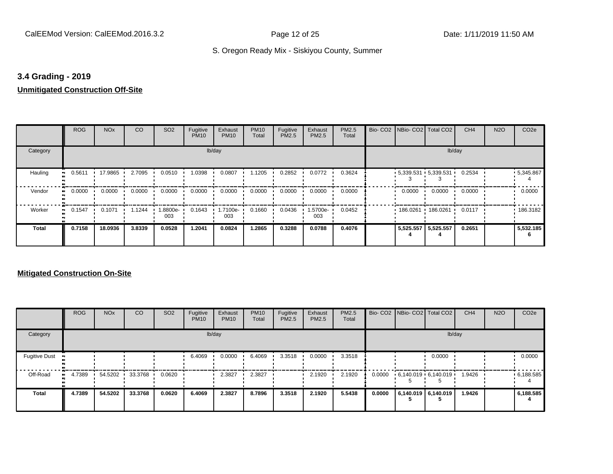#### **3.4 Grading - 2019**

#### **Unmitigated Construction Off-Site**

|                           | <b>ROG</b> | <b>NO<sub>x</sub></b> | CO     | SO <sub>2</sub> | Fugitive<br><b>PM10</b> | Exhaust<br><b>PM10</b> | <b>PM10</b><br>Total | Fugitive<br>PM2.5 | Exhaust<br>PM2.5 | PM2.5<br>Total | Bio- CO2   NBio- CO2   Total CO2 |          | CH <sub>4</sub> | <b>N2O</b> | CO <sub>2e</sub> |
|---------------------------|------------|-----------------------|--------|-----------------|-------------------------|------------------------|----------------------|-------------------|------------------|----------------|----------------------------------|----------|-----------------|------------|------------------|
| Category                  |            |                       |        |                 | lb/day                  |                        |                      |                   |                  |                |                                  |          | lb/day          |            |                  |
| Hauling<br>$\blacksquare$ | 0.5611     | 17.9865               | 2.7095 | 0.0510          | 1.0398                  | 0.0807                 | 1.1205               | 0.2852            | 0.0772           | 0.3624         | $-5,339.531 + 5,339.531 +$       |          | 0.2534          |            | $-5,345.867$     |
| Vendor<br>$\bullet$       | 0.0000     | 0.0000                | 0.0000 | 0.0000          | 0.0000                  | 0.0000                 | 0.0000               | 0.0000            | 0.0000           | 0.0000         | 0.0000                           | 0.0000   | 0.0000          |            | 0.0000           |
| Worker<br>$\bullet$       | 0.1547     | 0.1071                | 1.1244 | -8800e.<br>003  | 0.1643                  | 1.7100e-<br>003        | 0.1660               | 0.0436            | .5700e-<br>003   | 0.0452         | 186.0261                         | 186.0261 | 0.0117          |            | 186.3182         |
| <b>Total</b>              | 0.7158     | 18.0936               | 3.8339 | 0.0528          | 1.2041                  | 0.0824                 | 1.2865               | 0.3288            | 0.0788           | 0.4076         | 5,525.557 5,525.557              |          | 0.2651          |            | 5,532.185        |

|                      | <b>ROG</b>   | <b>NO<sub>x</sub></b> | CO      | SO <sub>2</sub> | Fugitive<br><b>PM10</b> | Exhaust<br><b>PM10</b> | <b>PM10</b><br>Total | Fugitive<br><b>PM2.5</b> | Exhaust<br><b>PM2.5</b> | <b>PM2.5</b><br>Total |        | Bio- CO2   NBio- CO2   Total CO2 |        | CH <sub>4</sub> | <b>N2O</b> | CO <sub>2e</sub> |
|----------------------|--------------|-----------------------|---------|-----------------|-------------------------|------------------------|----------------------|--------------------------|-------------------------|-----------------------|--------|----------------------------------|--------|-----------------|------------|------------------|
| Category             |              |                       |         |                 |                         | lb/day                 |                      |                          |                         |                       |        |                                  | lb/day |                 |            |                  |
| <b>Fugitive Dust</b> |              |                       |         |                 | 6.4069                  | 0.0000                 | 6.4069               | 3.3518                   | 0.0000                  | 3.3518                |        |                                  | 0.0000 |                 |            | 0.0000           |
| Off-Road             | 4.7389<br>ш. | 54.5202               | 33.3768 | 0.0620          |                         | 2.3827                 | 2.3827               |                          | 2.1920                  | 2.1920                | 0.0000 | $6.140.019 \cdot 6.140.019$      |        | 1.9426          |            | .6,188.585       |
| <b>Total</b>         | 4.7389       | 54.5202               | 33.3768 | 0.0620          | 6.4069                  | 2.3827                 | 8.7896               | 3.3518                   | 2.1920                  | 5.5438                | 0.0000 | 6.140.019 6.140.019              |        | 1.9426          |            | 6,188.585        |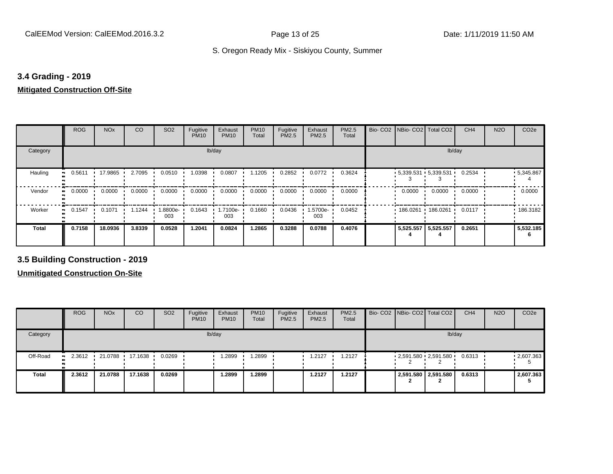#### **3.4 Grading - 2019**

#### **Mitigated Construction Off-Site**

|            | <b>ROG</b> | <b>NO<sub>x</sub></b> | CO     | SO <sub>2</sub> | Fugitive<br><b>PM10</b> | Exhaust<br><b>PM10</b> | <b>PM10</b><br>Total | Fugitive<br>PM2.5 | Exhaust<br>PM2.5 | PM2.5<br>Total | Bio-CO <sub>2</sub> | NBio- CO2   Total CO2    |           | CH <sub>4</sub> | <b>N2O</b> | CO <sub>2e</sub> |
|------------|------------|-----------------------|--------|-----------------|-------------------------|------------------------|----------------------|-------------------|------------------|----------------|---------------------|--------------------------|-----------|-----------------|------------|------------------|
| Category   |            |                       |        |                 | lb/day                  |                        |                      |                   |                  |                |                     |                          | lb/day    |                 |            |                  |
| Hauling    | 0.5611     | 17.9865               | 2.7095 | 0.0510          | 1.0398                  | 0.0807                 | .1205                | 0.2852            | 0.0772           | 0.3624         |                     | $-5,339.531 + 5,339.531$ |           | 0.2534          |            | $-5,345.867$     |
| Vendor     | 0.0000     | 0.0000                | 0.0000 | 0.0000          | 0.0000                  | 0.0000                 | 0.0000               | 0.0000            | 0.0000           | 0.0000         |                     | 0.0000                   | 0.0000    | 0.0000          |            | 0.0000           |
| Worker<br> | 0.1547     | 0.1071                | 1.1244 | 1.8800e-<br>003 | 0.1643                  | 1.7100e-<br>003        | 0.1660               | 0.0436            | 1.5700e-<br>003  | 0.0452         |                     | 186.0261                 | 186.0261  | 0.0117          |            | 186.3182         |
| Total      | 0.7158     | 18.0936               | 3.8339 | 0.0528          | 1.2041                  | 0.0824                 | 1.2865               | 0.3288            | 0.0788           | 0.4076         |                     | 5,525.557                | 5,525.557 | 0.2651          |            | 5,532.185        |

**3.5 Building Construction - 2019**

|              | <b>ROG</b>          | <b>NO<sub>x</sub></b> | CO      | SO <sub>2</sub> | Fugitive<br><b>PM10</b> | Exhaust<br><b>PM10</b> | <b>PM10</b><br>Total | Fugitive<br><b>PM2.5</b> | Exhaust<br>PM2.5 | <b>PM2.5</b><br>Total |  | Bio- CO2 NBio- CO2 Total CO2    | CH <sub>4</sub> | <b>N2O</b> | CO <sub>2e</sub> |
|--------------|---------------------|-----------------------|---------|-----------------|-------------------------|------------------------|----------------------|--------------------------|------------------|-----------------------|--|---------------------------------|-----------------|------------|------------------|
| Category     |                     |                       |         |                 |                         | lb/day                 |                      |                          |                  |                       |  |                                 | lb/day          |            |                  |
| Off-Road     | 2.3612<br><b>BL</b> | 21.0788               | 17.1638 | 0.0269          |                         | .2899                  | .2899                |                          | 1.2127           | 1.2127                |  | $2,591.580$ $2,591.580$ $\cdot$ | 0.6313          |            | $-2,607.363$     |
| <b>Total</b> | 2.3612              | 21.0788               | 17.1638 | 0.0269          |                         | 2899.،                 | 1.2899               |                          | 1.2127           | 1.2127                |  | 2,591.580 2,591.580             | 0.6313          |            | 2,607.363        |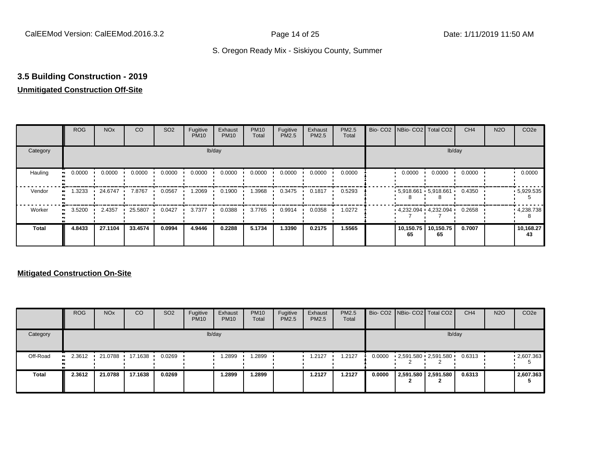## **3.5 Building Construction - 2019**

#### **Unmitigated Construction Off-Site**

|                     | <b>ROG</b> | <b>NO<sub>x</sub></b> | CO      | SO <sub>2</sub> | Fugitive<br><b>PM10</b> | Exhaust<br><b>PM10</b> | <b>PM10</b><br>Total | Fugitive<br><b>PM2.5</b> | Exhaust<br>PM2.5 | PM2.5<br>Total |                 | Bio- CO2   NBio- CO2   Total CO2 | CH <sub>4</sub> | <b>N2O</b> | CO <sub>2e</sub> |
|---------------------|------------|-----------------------|---------|-----------------|-------------------------|------------------------|----------------------|--------------------------|------------------|----------------|-----------------|----------------------------------|-----------------|------------|------------------|
| Category            |            |                       |         |                 |                         | lb/day                 |                      |                          |                  |                |                 |                                  | lb/day          |            |                  |
| Hauling<br>œ        | 0.0000     | 0.0000                | 0.0000  | 0.0000          | 0.0000                  | 0.0000                 | 0.0000               | 0.0000                   | 0.0000           | 0.0000         | 0.0000          | 0.0000                           | 0.0000          |            | 0.0000           |
| Vendor              | 1.3233     | 24.6747               | 7.8767  | 0.0567          | 1.2069                  | 0.1900                 | .3968                | 0.3475                   | 0.1817           | 0.5293         |                 | $5,918.661$ $5,918.661$ $\cdot$  | 0.4350          |            | .5,929.535       |
| Worker<br>$\bullet$ | 3.5200     | 2.4357                | 25.5807 | 0.0427          | 3.7377                  | 0.0388                 | 3.7765               | 0.9914                   | 0.0358           | 1.0272         |                 | 4,232.094 4,232.094              | 0.2658          |            | 4,238.738        |
| <b>Total</b>        | 4.8433     | 27.1104               | 33.4574 | 0.0994          | 4.9446                  | 0.2288                 | 5.1734               | 1.3390                   | 0.2175           | 1.5565         | 10,150.75<br>65 | 10,150.75<br>65                  | 0.7007          |            | 10,168.27<br>43  |

|              | <b>ROG</b>          | <b>NO<sub>x</sub></b> | CO      | SO <sub>2</sub> | Fugitive<br><b>PM10</b> | Exhaust<br><b>PM10</b> | <b>PM10</b><br>Total | Fugitive<br>PM2.5 | Exhaust<br><b>PM2.5</b> | PM2.5<br>Total |        | Bio- CO2   NBio- CO2   Total CO2 | CH <sub>4</sub> | <b>N2O</b> | CO <sub>2</sub> e |
|--------------|---------------------|-----------------------|---------|-----------------|-------------------------|------------------------|----------------------|-------------------|-------------------------|----------------|--------|----------------------------------|-----------------|------------|-------------------|
| Category     |                     |                       |         |                 | lb/day                  |                        |                      |                   |                         |                |        |                                  | lb/day          |            |                   |
| Off-Road     | 2.3612<br>$\bullet$ | 21.0788               | 17.1638 | 0.0269          |                         | 1.2899                 | .2899                |                   | 1.2127                  | 1.2127         | 0.0000 | 2,591.580 2,591.580              | 0.6313          |            | .2607.363         |
| <b>Total</b> | 2.3612              | 21.0788               | 17.1638 | 0.0269          |                         | 1.2899                 | .2899                |                   | 1.2127                  | 1.2127         | 0.0000 | 2,591.580 2,591.580              | 0.6313          |            | 2,607.363         |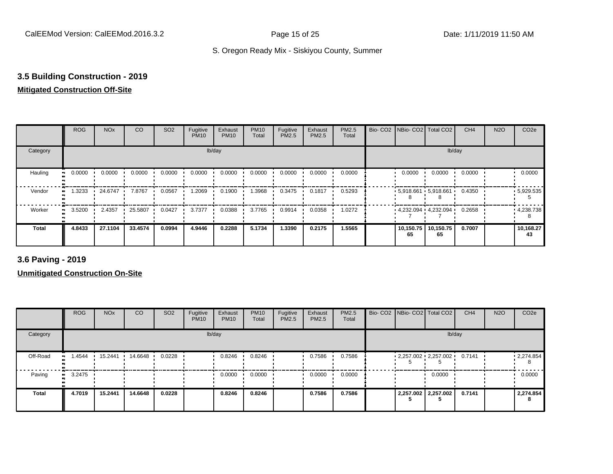## **3.5 Building Construction - 2019**

#### **Mitigated Construction Off-Site**

|                           | <b>ROG</b> | <b>NO<sub>x</sub></b> | CO      | SO <sub>2</sub> | Fugitive<br><b>PM10</b> | Exhaust<br><b>PM10</b> | <b>PM10</b><br>Total | Fugitive<br>PM2.5 | Exhaust<br>PM2.5 | PM2.5<br>Total | Bio- CO2 NBio- CO2 Total CO2    |                 | CH <sub>4</sub> | <b>N2O</b> | CO <sub>2e</sub> |
|---------------------------|------------|-----------------------|---------|-----------------|-------------------------|------------------------|----------------------|-------------------|------------------|----------------|---------------------------------|-----------------|-----------------|------------|------------------|
| Category                  |            |                       |         |                 |                         | lb/day                 |                      |                   |                  |                |                                 | lb/day          |                 |            |                  |
| Hauling<br>$\blacksquare$ | 0.0000     | 0.0000                | 0.0000  | 0.0000          | 0.0000                  | 0.0000                 | 0.0000               | 0.0000            | 0.0000           | 0.0000         | 0.0000                          | 0.0000          | 0.0000          |            | 0.0000           |
| Vendor                    | 1.3233     | 24.6747               | 7.8767  | 0.0567          | 1.2069                  | 0.1900                 | 1.3968               | 0.3475            | 0.1817           | 0.5293         | $5,918.661$ 5,918.661           |                 | 0.4350          |            | .5,929.535       |
| Worker<br>$\bullet$       | 3.5200     | 2.4357                | 25.5807 | 0.0427          | 3.7377                  | 0.0388                 | 3.7765               | 0.9914            | 0.0358           | 1.0272         | $4,232.094$ $4,232.094$ $\cdot$ |                 | 0.2658          |            | .4,238.738       |
| <b>Total</b>              | 4.8433     | 27.1104               | 33.4574 | 0.0994          | 4.9446                  | 0.2288                 | 5.1734               | 1.3390            | 0.2175           | 1.5565         | 10,150.75<br>65                 | 10,150.75<br>65 | 0.7007          |            | 10,168.27<br>43  |

**3.6 Paving - 2019**

|              | <b>ROG</b> | <b>NO<sub>x</sub></b> | CO      | SO <sub>2</sub> | Fugitive<br><b>PM10</b> | Exhaust<br><b>PM10</b> | <b>PM10</b><br>Total | Fugitive<br><b>PM2.5</b> | Exhaust<br>PM2.5 | <b>PM2.5</b><br>Total |  | Bio- CO2   NBio- CO2   Total CO2 | CH <sub>4</sub> | <b>N2O</b> | CO <sub>2e</sub> |
|--------------|------------|-----------------------|---------|-----------------|-------------------------|------------------------|----------------------|--------------------------|------------------|-----------------------|--|----------------------------------|-----------------|------------|------------------|
| Category     |            |                       |         |                 |                         | lb/day                 |                      |                          |                  |                       |  | lb/day                           |                 |            |                  |
| Off-Road     | .4544      | 15.2441               | 14.6648 | 0.0228          |                         | 0.8246                 | 0.8246               |                          | 0.7586           | 0.7586                |  | $2,257.002$ $2,257.002$          | 0.7141          |            | 12,274.854<br>8  |
| Paving       | 3.2475     |                       |         |                 |                         | 0.0000                 | 0.0000               |                          | 0.0000           | 0.0000                |  | 0.0000                           |                 |            | 0.0000           |
| <b>Total</b> | 4.7019     | 15.2441               | 14.6648 | 0.0228          |                         | 0.8246                 | 0.8246               |                          | 0.7586           | 0.7586                |  | 2,257.002 2,257.002              | 0.7141          |            | 2,274.854        |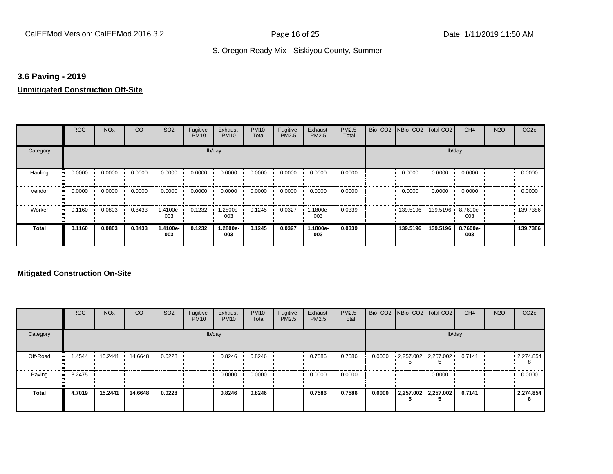#### **3.6 Paving - 2019**

#### **Unmitigated Construction Off-Site**

|                      | <b>ROG</b>                 | <b>NO<sub>x</sub></b> | CO     | SO <sub>2</sub> | Fugitive<br><b>PM10</b> | Exhaust<br><b>PM10</b> | <b>PM10</b><br>Total | Fugitive<br>PM2.5 | Exhaust<br>PM2.5 | PM2.5<br>Total | Bio- CO2   NBio- CO2   Total CO2 |          | CH <sub>4</sub> | <b>N2O</b> | CO <sub>2e</sub> |
|----------------------|----------------------------|-----------------------|--------|-----------------|-------------------------|------------------------|----------------------|-------------------|------------------|----------------|----------------------------------|----------|-----------------|------------|------------------|
| Category             |                            |                       |        |                 |                         | lb/day                 |                      |                   |                  |                |                                  |          | lb/day          |            |                  |
| Hauling<br>$\bullet$ | 0.0000                     | 0.0000                | 0.0000 | 0.0000          | 0.0000                  | 0.0000                 | 0.0000               | 0.0000            | 0.0000           | 0.0000         | 0.0000                           | 0.0000   | 0.0000          |            | 0.0000           |
| Vendor               | 0.0000<br>$\bullet\bullet$ | 0.0000                | 0.0000 | 0.0000          | 0.0000                  | 0.0000                 | 0.0000               | 0.0000            | 0.0000           | 0.0000         | 0.0000                           | 0.0000   | 0.0000          |            | 0.0000           |
| Worker               | 0.1160<br>$\bullet\bullet$ | 0.0803                | 0.8433 | 1.4100e-<br>003 | 0.1232                  | 1.2800e-<br>003        | 0.1245               | 0.0327            | .1800e-<br>003   | 0.0339         | 139.5196 139.5196                |          | 8.7600e-<br>003 |            | .139.7386        |
| <b>Total</b>         | 0.1160                     | 0.0803                | 0.8433 | 1.4100e-<br>003 | 0.1232                  | 1.2800e-<br>003        | 0.1245               | 0.0327            | 1.1800e-<br>003  | 0.0339         | 139.5196                         | 139,5196 | 8.7600e-<br>003 |            | 139.7386         |

|          | <b>ROG</b>   | <b>NO<sub>x</sub></b> | CO      | SO <sub>2</sub> | Fugitive<br><b>PM10</b> | Exhaust<br><b>PM10</b> | <b>PM10</b><br>Total | Fugitive<br><b>PM2.5</b> | Exhaust<br><b>PM2.5</b> | <b>PM2.5</b><br>Total |        | Bio- CO2   NBio- CO2   Total CO2 | CH <sub>4</sub> | <b>N2O</b> | CO <sub>2e</sub> |
|----------|--------------|-----------------------|---------|-----------------|-------------------------|------------------------|----------------------|--------------------------|-------------------------|-----------------------|--------|----------------------------------|-----------------|------------|------------------|
| Category |              |                       |         |                 |                         | lb/day                 |                      |                          |                         |                       |        |                                  | lb/day          |            |                  |
| Off-Road | .4544        | 15.2441               | 14.6648 | 0.0228          |                         | 0.8246                 | 0.8246               |                          | 0.7586                  | 0.7586                | 0.0000 | $2,257.002$ $2,257.002$          | 0.7141          |            | .2,274.854<br>8  |
| Paving   | 3.2475<br>ш. |                       |         |                 |                         | 0.0000                 | 0.0000               |                          | 0.0000                  | 0.0000                |        | 0.0000                           |                 |            | 0.0000           |
| Total    | 4.7019       | 15.2441               | 14.6648 | 0.0228          |                         | 0.8246                 | 0.8246               |                          | 0.7586                  | 0.7586                | 0.0000 | 2,257.002 2,257.002              | 0.7141          |            | 2,274.854<br>8   |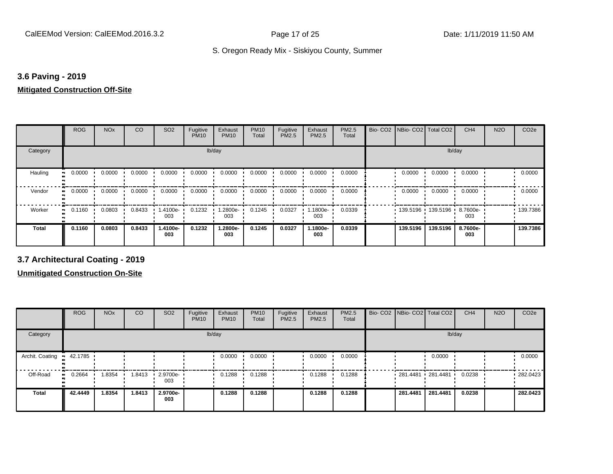#### **3.6 Paving - 2019**

#### **Mitigated Construction Off-Site**

|            | <b>ROG</b> | <b>NO<sub>x</sub></b> | CO     | SO <sub>2</sub> | Fugitive<br><b>PM10</b> | Exhaust<br><b>PM10</b> | <b>PM10</b><br>Total | Fugitive<br>PM2.5 | Exhaust<br>PM2.5 | PM2.5<br>Total | Bio-CO <sub>2</sub> | NBio- CO2   Total CO2 |                     | CH <sub>4</sub> | <b>N2O</b> | CO <sub>2e</sub> |
|------------|------------|-----------------------|--------|-----------------|-------------------------|------------------------|----------------------|-------------------|------------------|----------------|---------------------|-----------------------|---------------------|-----------------|------------|------------------|
| Category   |            |                       |        |                 | lb/day                  |                        |                      |                   |                  |                |                     |                       | lb/day              |                 |            |                  |
| Hauling    | 0.0000     | 0.0000                | 0.0000 | 0.0000          | 0.0000                  | 0.0000                 | 0.0000               | 0.0000            | 0.0000           | 0.0000         |                     | 0.0000                | 0.0000              | 0.0000          |            | 0.0000           |
| Vendor     | 0.0000     | 0.0000                | 0.0000 | 0.0000          | 0.0000                  | 0.0000                 | 0.0000               | 0.0000            | 0.0000           | 0.0000         |                     | 0.0000                | 0.0000              | 0.0000          |            | 0.0000           |
| Worker<br> | 0.1160     | 0.0803                | 0.8433 | 1.4100e-<br>003 | 0.1232                  | 1.2800e-<br>003        | 0.1245               | 0.0327            | 1.1800e-<br>003  | 0.0339         |                     |                       | 139.5196 139.5196 ' | 8.7600e-<br>003 |            | .139.7386        |
| Total      | 0.1160     | 0.0803                | 0.8433 | 1.4100e-<br>003 | 0.1232                  | 1.2800e-<br>003        | 0.1245               | 0.0327            | 1.1800e-<br>003  | 0.0339         |                     | 139.5196              | 139.5196            | 8.7600e-<br>003 |            | 139.7386         |

**3.7 Architectural Coating - 2019**

|                           | <b>ROG</b> | <b>NO<sub>x</sub></b> | CO     | SO <sub>2</sub>                 | Fugitive<br><b>PM10</b> | Exhaust<br><b>PM10</b> | <b>PM10</b><br>Total | Fugitive<br><b>PM2.5</b> | Exhaust<br><b>PM2.5</b> | <b>PM2.5</b><br>Total |          | Bio- CO2   NBio- CO2   Total CO2 | CH <sub>4</sub> | <b>N2O</b> | CO <sub>2e</sub> |
|---------------------------|------------|-----------------------|--------|---------------------------------|-------------------------|------------------------|----------------------|--------------------------|-------------------------|-----------------------|----------|----------------------------------|-----------------|------------|------------------|
| Category                  |            |                       |        |                                 |                         | lb/day                 |                      |                          |                         |                       |          | lb/day                           |                 |            |                  |
| Archit. Coating . 42.1785 |            |                       |        |                                 |                         | 0.0000                 | 0.0000               |                          | 0.0000                  | 0.0000                |          | 0.0000                           |                 |            | 0.0000           |
| Off-Road                  | 0.2664     | 1.8354                | 1.8413 | $\cdot$ 2.9700e- $\cdot$<br>003 |                         | 0.1288                 | 0.1288               |                          | 0.1288                  | 0.1288                |          | $-281.4481 - 281.4481$           | 0.0238          |            | $-282.0423$      |
| <b>Total</b>              | 42,4449    | 1.8354                | 1.8413 | 2.9700e-<br>003                 |                         | 0.1288                 | 0.1288               |                          | 0.1288                  | 0.1288                | 281.4481 | 281.4481                         | 0.0238          |            | 282.0423         |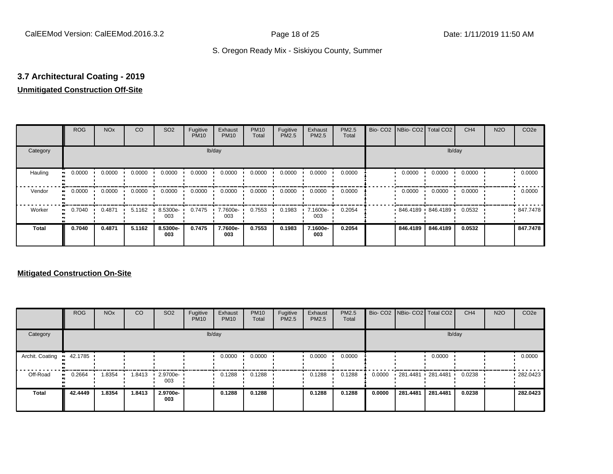## **3.7 Architectural Coating - 2019**

### **Unmitigated Construction Off-Site**

|                      | <b>ROG</b> | <b>NO<sub>x</sub></b> | CO     | SO <sub>2</sub> | Fugitive<br><b>PM10</b> | Exhaust<br><b>PM10</b> | <b>PM10</b><br>Total | Fugitive<br>PM2.5 | Exhaust<br>PM2.5 | PM2.5<br>Total | Bio- CO2 NBio- CO2 Total CO2 |          | CH <sub>4</sub> | <b>N2O</b> | CO <sub>2e</sub> |
|----------------------|------------|-----------------------|--------|-----------------|-------------------------|------------------------|----------------------|-------------------|------------------|----------------|------------------------------|----------|-----------------|------------|------------------|
| Category             |            |                       |        |                 |                         | lb/day                 |                      |                   |                  |                |                              | lb/day   |                 |            |                  |
| Hauling<br>$\bullet$ | 0.0000     | 0.0000                | 0.0000 | 0.0000          | 0.0000                  | 0.0000                 | 0.0000               | 0.0000            | 0.0000           | 0.0000         | 0.0000                       | 0.0000   | 0.0000          |            | 0.0000           |
| Vendor<br>$\bullet$  | 0.0000     | 0.0000                | 0.0000 | 0.0000          | 0.0000                  | 0.0000                 | 0.0000               | 0.0000            | 0.0000           | 0.0000         | 0.0000                       | 0.0000   | 0.0000          |            | 0.0000           |
| Worker<br>$\bullet$  | 0.7040     | 0.4871                | 5.1162 | 8.5300e-<br>003 | 0.7475                  | 7.7600e-<br>003        | 0.7553               | 0.1983            | 7.1600e-<br>003  | 0.2054         | 846.4189 846.4189            |          | 0.0532          |            | .847.7478        |
| <b>Total</b>         | 0.7040     | 0.4871                | 5.1162 | 8.5300e-<br>003 | 0.7475                  | 7.7600e-<br>003        | 0.7553               | 0.1983            | 7.1600e-<br>003  | 0.2054         | 846,4189                     | 846.4189 | 0.0532          |            | 847.7478         |

|                 | <b>ROG</b>   | <b>NO<sub>x</sub></b> | CO     | SO <sub>2</sub>         | Fugitive<br><b>PM10</b> | Exhaust<br><b>PM10</b> | <b>PM10</b><br>Total | Fugitive<br><b>PM2.5</b> | Exhaust<br><b>PM2.5</b> | <b>PM2.5</b><br>Total |        |          | Bio- CO2   NBio- CO2   Total CO2 | CH <sub>4</sub> | <b>N2O</b> | CO <sub>2e</sub> |
|-----------------|--------------|-----------------------|--------|-------------------------|-------------------------|------------------------|----------------------|--------------------------|-------------------------|-----------------------|--------|----------|----------------------------------|-----------------|------------|------------------|
| Category        |              |                       |        |                         |                         | lb/day                 |                      |                          |                         |                       |        |          | lb/day                           |                 |            |                  |
| Archit. Coating | 42.1785      |                       |        |                         |                         | 0.0000                 | 0.0000               |                          | 0.0000                  | 0.0000                |        |          | 0.0000                           |                 |            | 0.0000           |
| Off-Road        | 0.2664<br>ш. | 1.8354                | 1.8413 | $\cdot$ 2.9700e-<br>003 |                         | 0.1288                 | 0.1288               |                          | 0.1288                  | 0.1288                | 0.0000 |          | 281.4481 281.4481 '              | 0.0238          |            | $-282.0423$      |
| <b>Total</b>    | 42.4449      | 1.8354                | 1.8413 | 2.9700e-<br>003         |                         | 0.1288                 | 0.1288               |                          | 0.1288                  | 0.1288                | 0.0000 | 281.4481 | 281.4481                         | 0.0238          |            | 282.0423         |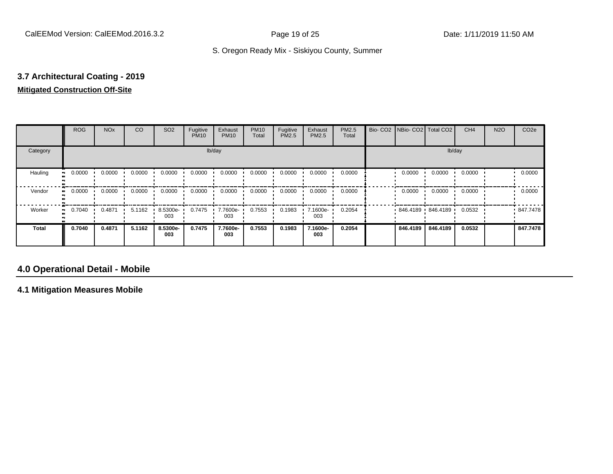### **3.7 Architectural Coating - 2019 Mitigated Construction Off-Site**

|                            | <b>ROG</b> | <b>NO<sub>x</sub></b> | CO     | SO <sub>2</sub> | Fugitive<br><b>PM10</b> | Exhaust<br><b>PM10</b> | <b>PM10</b><br>Total | Fugitive<br>PM2.5 | Exhaust<br>PM2.5 | PM2.5<br>Total |          | Bio- CO2   NBio- CO2   Total CO2 | CH <sub>4</sub> | <b>N2O</b> | CO <sub>2e</sub> |
|----------------------------|------------|-----------------------|--------|-----------------|-------------------------|------------------------|----------------------|-------------------|------------------|----------------|----------|----------------------------------|-----------------|------------|------------------|
| Category                   |            |                       |        |                 |                         | lb/day                 |                      |                   |                  |                |          | lb/day                           |                 |            |                  |
| Hauling<br>$\bullet$       | 0.0000     | 0.0000                | 0.0000 | 0.0000          | 0.0000                  | 0.0000                 | 0.0000               | 0.0000            | 0.0000           | 0.0000         | 0.0000   | 0.0000                           | 0.0000          |            | 0.0000           |
| Vendor<br>$\bullet$        | 0.0000     | 0.0000                | 0.0000 | 0.0000          | 0.0000                  | 0.0000                 | 0.0000               | 0.0000            | 0.0000           | 0.0000         | 0.0000   | 0.0000                           | 0.0000          |            | 0.0000           |
| Worker<br>$\bullet\bullet$ | 0.7040     | 0.4871                | 5.1162 | 8.5300e-<br>003 | 0.7475                  | 7.7600e-<br>003        | 0.7553               | 0.1983            | 7.1600e-<br>003  | 0.2054         |          | 846.4189 846.4189                | 0.0532          |            | 847.7478         |
| <b>Total</b>               | 0.7040     | 0.4871                | 5.1162 | 8.5300e-<br>003 | 0.7475                  | 7.7600e-<br>003        | 0.7553               | 0.1983            | 7.1600e-<br>003  | 0.2054         | 846,4189 | 846.4189                         | 0.0532          |            | 847.7478         |

### **4.0 Operational Detail - Mobile**

**4.1 Mitigation Measures Mobile**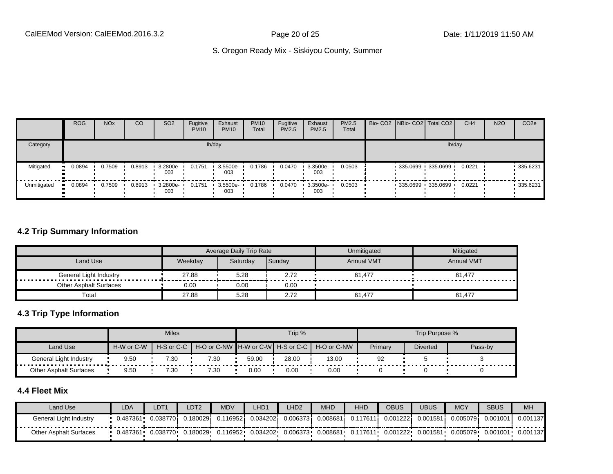|             | <b>ROG</b> | <b>NO<sub>x</sub></b> | CO     | SO <sub>2</sub>                 | Fugitive<br><b>PM10</b> | Exhaust<br><b>PM10</b> | <b>PM10</b><br>Total | Fugitive<br><b>PM2.5</b> | Exhaust<br>PM2.5 | <b>PM2.5</b><br>Total |  | Bio- CO2   NBio- CO2   Total CO2 | CH <sub>4</sub> | <b>N2O</b> | CO <sub>2e</sub> |
|-------------|------------|-----------------------|--------|---------------------------------|-------------------------|------------------------|----------------------|--------------------------|------------------|-----------------------|--|----------------------------------|-----------------|------------|------------------|
| Category    |            |                       |        |                                 |                         | lb/day                 |                      |                          |                  |                       |  | lb/day                           |                 |            |                  |
| Mitigated   | 0.0894     | 0.7509                | 0.8913 | $\cdot$ 3.2800e-<br>003         | 0.1751                  | 3.5500e-<br>003        | 0.1786               | 0.0470                   | 3.3500e-<br>003  | 0.0503                |  | 335.0699 335.0699 '              | 0.0221          |            | $-335.6231$      |
| Unmitigated | 0.0894     | 0.7509                | 0.8913 | $\cdot$ 3.2800e- $\cdot$<br>003 | 0.1751                  | 3.5500e-<br>003        | 0.1786               | 0.0470                   | 3.3500e-<br>003  | 0.0503                |  | 335.0699 335.0699                | 0.0221          |            | $-335.6231$      |

#### **4.2 Trip Summary Information**

|                               |         | Average Daily Trip Rate |        | Unmitigated       | Mitigated         |
|-------------------------------|---------|-------------------------|--------|-------------------|-------------------|
| Land Use                      | Weekdav | Saturdav                | Sunday | <b>Annual VMT</b> | <b>Annual VMT</b> |
| General Light Industry        | 27.88   | 5.28                    | 2.72   | 61.477            | 61,477            |
| <b>Other Asphalt Surfaces</b> | 0.00    | 0.00                    | 0.00   |                   |                   |
| Tota                          | 27.88   | 5.28                    | 2.72   | 61,477            | 61.477            |

#### **4.3 Trip Type Information**

|                        |            | <b>Miles</b> |                                   |       | Trip % |             |         | Trip Purpose %  |         |
|------------------------|------------|--------------|-----------------------------------|-------|--------|-------------|---------|-----------------|---------|
| Land Use               | H-W or C-W | H-S or C-C   | H-O or C-NW H-W or C-W H-S or C-C |       |        | H-O or C-NW | Primary | <b>Diverted</b> | Pass-by |
| General Light Industry | 9.50       | 7.30         | 7.30                              | 59.00 | 28.00  | 13.00       | 92      |                 |         |
| Other Asphalt Surfaces | 9.50       | 7.30         | 7.30                              | 0.00  | 0.00   | 0.00        |         |                 |         |

#### **4.4 Fleet Mix**

| Land Use                      | LDA      | DT1       | DT2      | <b>MDV</b> | LHD1     | LHD <sub>2</sub> | <b>MHD</b>   | <b>HHD</b> | OBUS      | JBUS     | <b>MCY</b> | <b>SBUS</b> | <b>MH</b> |
|-------------------------------|----------|-----------|----------|------------|----------|------------------|--------------|------------|-----------|----------|------------|-------------|-----------|
| General Light Industry        | 0.487361 | 0.0387701 | 0.180029 | .116952i   | 0.034202 | 0.0063731        | $0.008681$ i | 0.117611   | 0.001222i | 0.001581 | 0.005079   | 0.001001    | 0.001137  |
| <b>Other Asphalt Surfaces</b> | 0.487361 | 0.038770  | 0.180029 | 0.116952   | 0.034202 | 0.006373         | 0.008681     | 0.117611   | 0.001222  | 0.001581 | 0.005079   | 0.001001    | 0.001137  |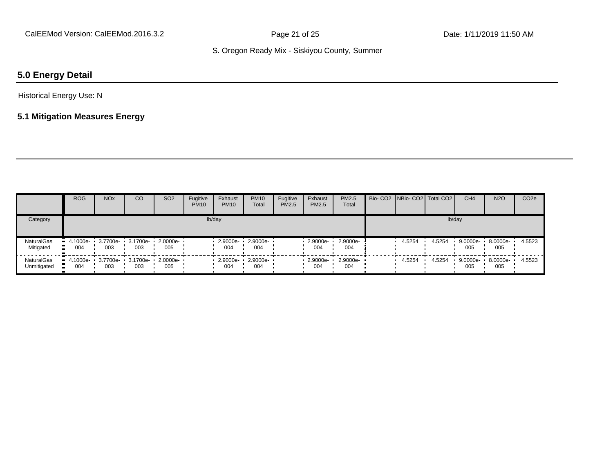## **5.0 Energy Detail**

#### Historical Energy Use: N

#### **5.1 Mitigation Measures Energy**

|                           | <b>ROG</b>      | <b>NO<sub>x</sub></b>             | CO  | SO <sub>2</sub>                   | Fugitive<br><b>PM10</b> | Exhaust<br><b>PM10</b> | <b>PM10</b><br>Total | Fugitive<br><b>PM2.5</b> | Exhaust<br>PM2.5 | <b>PM2.5</b><br>Total | Bio- CO2   NBio- CO2   Total CO2 |        | CH <sub>4</sub> | <b>N2O</b>      | CO <sub>2e</sub> |
|---------------------------|-----------------|-----------------------------------|-----|-----------------------------------|-------------------------|------------------------|----------------------|--------------------------|------------------|-----------------------|----------------------------------|--------|-----------------|-----------------|------------------|
| Category                  |                 |                                   |     |                                   |                         | lb/day                 |                      |                          |                  |                       |                                  | lb/day |                 |                 |                  |
| NaturalGas<br>Mitigated   | 4.1000e-<br>004 | 003                               | 003 | 3.7700e- 3.1700e- 2.0000e-<br>005 |                         | $2.9000e-$<br>004      | 2.9000e-<br>004      |                          | 2.9000e-<br>004  | 2.9000e-<br>004       | 4.5254                           | 4.5254 | 9.0000e-<br>005 | 8.0000e-<br>005 | 4.5523           |
| NaturalGas<br>Unmitigated | 004             | 4.1000e- 3.7700e- 3.1700e-<br>003 | 003 | $\cdot$ 2.0000e- $\cdot$<br>005   |                         | 2.9000e-<br>004        | 2.9000e-<br>004      |                          | 2.9000e-<br>004  | $2.9000e-$<br>004     | 4.5254                           | 4.5254 | 9.0000e-<br>005 | 8.0000e-<br>005 | 4.5523           |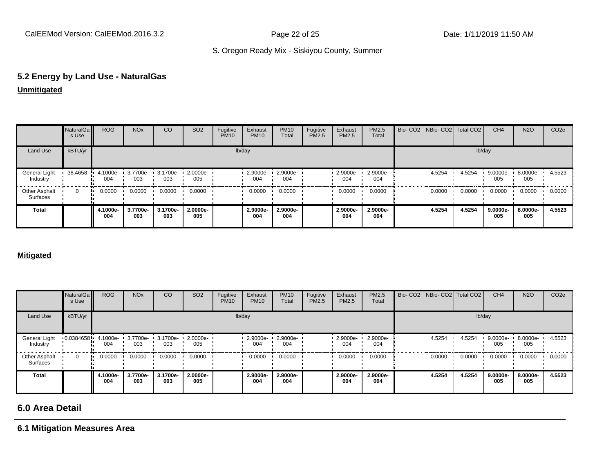# **5.2 Energy by Land Use - NaturalGas**

**Unmitigated**

|                                  | <b>NaturalGa</b><br>s Use | <b>ROG</b>      | <b>NO<sub>x</sub></b> | <sub>CO</sub>   | SO <sub>2</sub> | Fugitive<br><b>PM10</b> | Exhaust<br><b>PM10</b> | <b>PM10</b><br>Total | Fugitive<br>PM2.5 | Exhaust<br>PM2.5 | <b>PM2.5</b><br>Total | Bio- CO2   NBio- CO2   Total CO2 |        | CH <sub>4</sub>            | <b>N2O</b>      | CO <sub>2e</sub> |
|----------------------------------|---------------------------|-----------------|-----------------------|-----------------|-----------------|-------------------------|------------------------|----------------------|-------------------|------------------|-----------------------|----------------------------------|--------|----------------------------|-----------------|------------------|
| Land Use                         | kBTU/yr                   |                 |                       |                 |                 |                         | lb/day                 |                      |                   |                  |                       |                                  |        | lb/day                     |                 |                  |
| General Light<br>Industry        | 38.4658                   | 4.1000e-<br>004 | 3.7700e-<br>003       | 3.1700e-<br>003 | 2.0000e-<br>005 |                         | 2.9000e-<br>004        | 2.9000e-<br>004      |                   | 2.9000e-<br>004  | 2.9000e-<br>004       | 4.5254                           | 4.5254 | $9.0000e - 8.0000e$<br>005 | 005             | 4.5523           |
| <b>Other Asphalt</b><br>Surfaces | 0                         | 0.0000          | 0.0000                | 0.0000          | 0.0000          |                         | 0.0000                 | 0.0000               |                   | 0.0000           | 0.0000                | 0.0000                           | 0.0000 | 0.0000                     | 0.0000          | 0.0000           |
| <b>Total</b>                     |                           | 4.1000e-<br>004 | 3.7700e-<br>003       | 3.1700e-<br>003 | 2.0000e-<br>005 |                         | 2.9000e-<br>004        | 2.9000e-<br>004      |                   | 2.9000e-<br>004  | 2.9000e-<br>004       | 4.5254                           | 4.5254 | 9.0000e-<br>005            | 8.0000e-<br>005 | 4.5523           |

#### **Mitigated**

|                           | <b>NaturalGa</b><br>s Use | <b>ROG</b>      | <b>NO<sub>x</sub></b> | CO              | SO <sub>2</sub> | Fugitive<br><b>PM10</b> | Exhaust<br><b>PM10</b> | <b>PM10</b><br>Total | Fugitive<br><b>PM2.5</b> | Exhaust<br>PM2.5 | PM2.5<br>Total  |        | Bio- CO2   NBio- CO2   Total CO2 | CH <sub>4</sub> | <b>N2O</b>      | CO <sub>2</sub> e |
|---------------------------|---------------------------|-----------------|-----------------------|-----------------|-----------------|-------------------------|------------------------|----------------------|--------------------------|------------------|-----------------|--------|----------------------------------|-----------------|-----------------|-------------------|
| Land Use                  | kBTU/yr                   |                 |                       |                 |                 |                         | lb/day                 |                      |                          |                  |                 |        | lb/day                           |                 |                 |                   |
| General Light<br>Industry | $0.0384658 - 4.1000e$     | 004             | 3.7700e-<br>003       | 3.1700e-<br>003 | 2.0000e-<br>005 |                         | 2.9000e-<br>004        | 2.9000e-<br>004      |                          | 2.9000e-<br>004  | 2.9000e-<br>004 | 4.5254 | 4.5254                           | 9.0000e-<br>005 | 8.0000e-<br>005 | 4.5523            |
| Other Asphalt<br>Surfaces | $\Omega$                  | 0.0000          | 0.0000                | 0.0000          | 0.0000          |                         | 0.0000                 | 0.0000               |                          | 0.0000           | 0.0000          | 0.0000 | 0.0000                           | 0.0000          | 0.0000          | 0.0000            |
| Total                     |                           | 4.1000e-<br>004 | 3.7700e-<br>003       | 3.1700e-<br>003 | 2.0000e-<br>005 |                         | 2.9000e-<br>004        | 2.9000e-<br>004      |                          | 2.9000e-<br>004  | 2.9000e-<br>004 | 4.5254 | 4.5254                           | 9.0000e-<br>005 | 8.0000e-<br>005 | 4.5523            |

## **6.0 Area Detail**

**6.1 Mitigation Measures Area**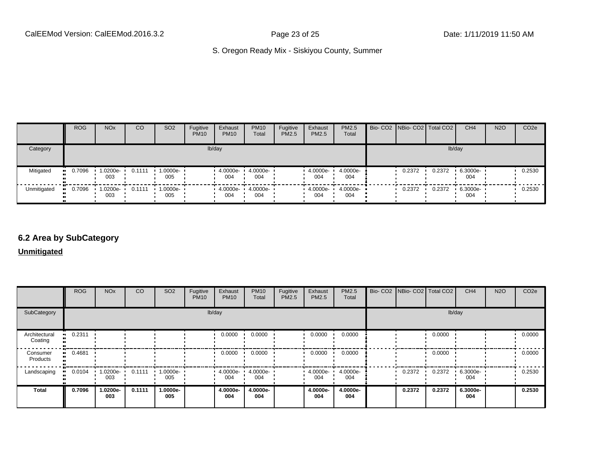|             | <b>ROG</b>            | <b>NO<sub>x</sub></b> | CO     | SO <sub>2</sub>    | Fugitive<br><b>PM10</b> | Exhaust<br><b>PM10</b> | <b>PM10</b><br>Total | Fugitive<br><b>PM2.5</b> | Exhaust<br>PM2.5 | <b>PM2.5</b><br>Total | Bio- CO2   NBio- CO2   Total CO2 |        | CH <sub>4</sub> | <b>N2O</b> | CO <sub>2e</sub> |
|-------------|-----------------------|-----------------------|--------|--------------------|-------------------------|------------------------|----------------------|--------------------------|------------------|-----------------------|----------------------------------|--------|-----------------|------------|------------------|
| Category    |                       |                       |        |                    |                         | lb/day                 |                      |                          |                  |                       |                                  |        | lb/day          |            |                  |
| Mitigated   | $\blacksquare$ 0.7096 | 1.0200e-<br>003       | 0.1111 | 1.0000e-<br>005    |                         | 4.0000e-<br>004        | 4.0000e-<br>004      |                          | 4.0000e-<br>004  | 4.0000e-<br>004       | 0.2372                           | 0.2372 | 6.3000e-<br>004 |            | 0.2530           |
| Unmitigated | 0.7096                | 1.0200e-<br>003       | 0.1111 | $1.0000e -$<br>005 |                         | 4.0000e-<br>004        | 4.0000e-<br>004      |                          | 4.0000e-<br>004  | $4.0000e-$<br>004     | 0.2372                           | 0.2372 | 6.3000e-<br>004 |            | 0.2530           |

#### **6.2 Area by SubCategory**

**Unmitigated**

|                          | <b>ROG</b>   | <b>NO<sub>x</sub></b> | CO     | SO <sub>2</sub> | Fugitive<br><b>PM10</b> | Exhaust<br><b>PM10</b> | <b>PM10</b><br>Total | Fugitive<br>PM2.5 | Exhaust<br>PM2.5 | PM2.5<br>Total  | Bio- CO2   NBio- CO2   Total CO2 |        | CH <sub>4</sub> | <b>N2O</b> | CO <sub>2</sub> e |
|--------------------------|--------------|-----------------------|--------|-----------------|-------------------------|------------------------|----------------------|-------------------|------------------|-----------------|----------------------------------|--------|-----------------|------------|-------------------|
| SubCategory              |              |                       |        |                 | lb/day                  |                        |                      |                   |                  |                 |                                  | lb/day |                 |            |                   |
| Architectural<br>Coating | 0.2311       |                       |        |                 |                         | 0.0000                 | 0.0000               |                   | 0.0000           | 0.0000          |                                  | 0.0000 |                 |            | 0.0000            |
| Consumer<br>Products     | 0.4681<br>ш. |                       |        |                 |                         | 0.0000                 | 0.0000               |                   | 0.0000           | 0.0000          |                                  | 0.0000 |                 |            | 0.0000            |
| Landscaping              | 0.0104       | 1.0200e-<br>003       | 0.1111 | 1.0000e-<br>005 |                         | $-4.0000e-$<br>004     | 4.0000e-<br>004      |                   | 4.0000e-<br>004  | 4.0000e-<br>004 | 0.2372                           | 0.2372 | 6.3000e-<br>004 |            | 0.2530            |
| <b>Total</b>             | 0.7096       | 1.0200e-<br>003       | 0.1111 | 1.0000e-<br>005 |                         | 4.0000e-<br>004        | 4.0000e-<br>004      |                   | 4.0000e-<br>004  | 4.0000e-<br>004 | 0.2372                           | 0.2372 | 6.3000e-<br>004 |            | 0.2530            |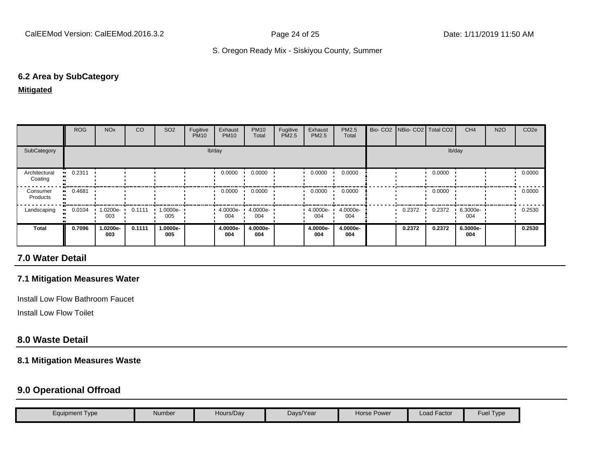#### **6.2 Area by SubCategory**

#### **Mitigated**

|                          | ROG       | <b>NO<sub>x</sub></b> | CO     | SO <sub>2</sub> | Fugitive<br><b>PM10</b> | Exhaust<br><b>PM10</b> | <b>PM10</b><br>Total | Fugitive<br>PM2.5 | Exhaust<br>PM2.5 | <b>PM2.5</b><br>Total | Bio- CO2   NBio- CO2   Total CO2 |        | CH <sub>4</sub> | <b>N2O</b> | CO <sub>2</sub> e |
|--------------------------|-----------|-----------------------|--------|-----------------|-------------------------|------------------------|----------------------|-------------------|------------------|-----------------------|----------------------------------|--------|-----------------|------------|-------------------|
| SubCategory              |           |                       |        |                 |                         | lb/day                 |                      |                   |                  |                       |                                  | lb/day |                 |            |                   |
| Architectural<br>Coating | $-0.2311$ |                       |        |                 |                         | 0.0000                 | 0.0000               |                   | 0.0000           | 0.0000                |                                  | 0.0000 |                 |            | 0.0000            |
| Consumer<br>Products     | $-0.4681$ |                       |        |                 |                         | 0.0000                 | 0.0000               |                   | 0.0000           | 0.0000                |                                  | 0.0000 |                 |            | 0.0000            |
| Landscaping              | 0.0104    | 1.0200e-<br>003       | 0.1111 | 1.0000e-<br>005 |                         | $4.0000e -$<br>004     | 4.0000e-<br>004      |                   | 4.0000e-<br>004  | 4.0000e-<br>004       | 0.2372                           | 0.2372 | 6.3000e-<br>004 |            | 0.2530            |
| Total                    | 0.7096    | 1.0200e-<br>003       | 0.1111 | 1.0000e-<br>005 |                         | 4.0000e-<br>004        | 4.0000e-<br>004      |                   | 4.0000e-<br>004  | 4.0000e-<br>004       | 0.2372                           | 0.2372 | 6.3000e-<br>004 |            | 0.2530            |

#### **7.0 Water Detail**

#### **7.1 Mitigation Measures Water**

Install Low Flow Bathroom Faucet

Install Low Flow Toilet

#### **8.0 Waste Detail**

#### **8.1 Mitigation Measures Waste**

#### **9.0 Operational Offroad**

| Equipment Type | Number | Hours/Day | Days/Year | Horse Power | <sup>1</sup> Factor | Fuel<br>Type |
|----------------|--------|-----------|-----------|-------------|---------------------|--------------|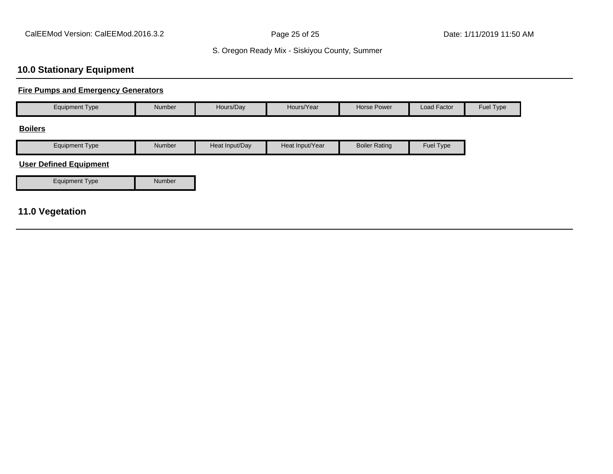## **10.0 Stationary Equipment**

#### **Fire Pumps and Emergency Generators**

| <b>Equipment Type</b>         | Number | Hours/Day      | Hours/Year      | <b>Horse Power</b>   | Load Factor | Fuel Type |
|-------------------------------|--------|----------------|-----------------|----------------------|-------------|-----------|
| <b>Boilers</b>                |        |                |                 |                      |             |           |
| <b>Equipment Type</b>         | Number | Heat Input/Day | Heat Input/Year | <b>Boiler Rating</b> | Fuel Type   |           |
| <b>User Defined Equipment</b> |        |                |                 |                      |             |           |
| <b>Equipment Type</b>         | Number |                |                 |                      |             |           |
|                               |        |                |                 |                      |             |           |
| <b>11.0 Vegetation</b>        |        |                |                 |                      |             |           |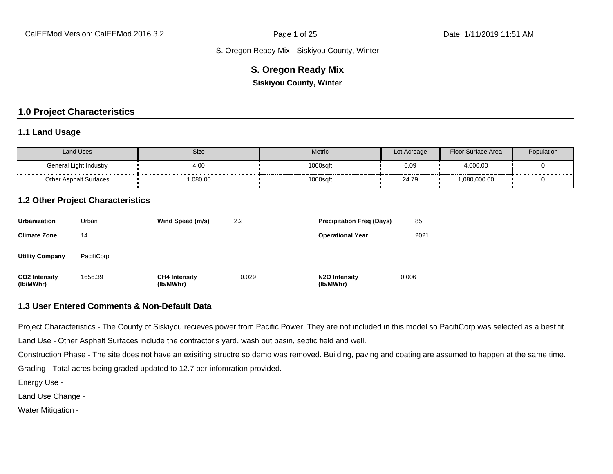#### **S. Oregon Ready Mix**

**Siskiyou County, Winter**

#### **1.0 Project Characteristics**

#### **1.1 Land Usage**

| <b>Land Uses</b>              | Size    | Metric   | Lot Acreage | Floor Surface Area | Population |
|-------------------------------|---------|----------|-------------|--------------------|------------|
| General Light Industry<br>.   | 4.00    | 1000sqft | 0.09        | 4,000.00           | .          |
| <b>Other Asphalt Surfaces</b> | ,080.00 | 1000sqft | 24.79       | 1,080,000.00       |            |

#### **1.2 Other Project Characteristics**

| <b>Urbanization</b>               | Urban      | Wind Speed (m/s)                  | 2.2   | <b>Precipitation Freg (Days)</b>        | 85    |
|-----------------------------------|------------|-----------------------------------|-------|-----------------------------------------|-------|
| <b>Climate Zone</b>               | 14         |                                   |       | <b>Operational Year</b>                 | 2021  |
| <b>Utility Company</b>            | PacifiCorp |                                   |       |                                         |       |
| <b>CO2 Intensity</b><br>(lb/MWhr) | 1656.39    | <b>CH4 Intensity</b><br>(lb/MWhr) | 0.029 | N <sub>2</sub> O Intensity<br>(lb/MWhr) | 0.006 |

#### **1.3 User Entered Comments & Non-Default Data**

Project Characteristics - The County of Siskiyou recieves power from Pacific Power. They are not included in this model so PacifiCorp was selected as a best fit.

Land Use - Other Asphalt Surfaces include the contractor's yard, wash out basin, septic field and well.

Construction Phase - The site does not have an exisiting structre so demo was removed. Building, paving and coating are assumed to happen at the same time.

Grading - Total acres being graded updated to 12.7 per infomration provided.

Energy Use -

Land Use Change -

Water Mitigation -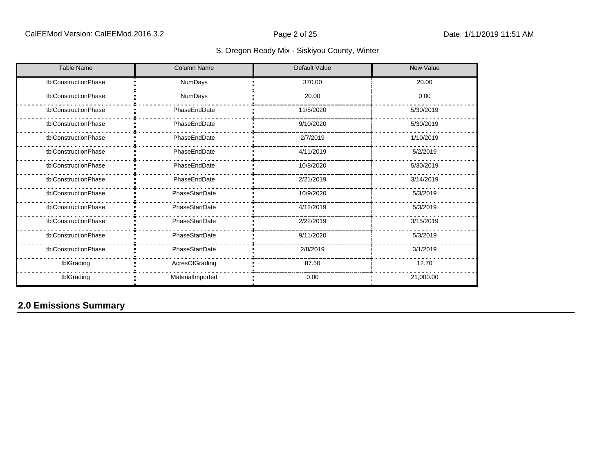| <b>Table Name</b>    | <b>Column Name</b> | <b>Default Value</b> | <b>New Value</b> |
|----------------------|--------------------|----------------------|------------------|
| tblConstructionPhase | NumDays            | 370.00               | 20.00            |
| tblConstructionPhase | NumDays            | 20.00                | 0.00             |
| tblConstructionPhase | PhaseEndDate       | 11/5/2020            | 5/30/2019        |
| tblConstructionPhase | PhaseEndDate       | 9/10/2020            | 5/30/2019        |
| tblConstructionPhase | PhaseEndDate       | 2/7/2019             | 1/10/2019        |
| tblConstructionPhase | PhaseEndDate       | 4/11/2019            | 5/2/2019         |
| tblConstructionPhase | PhaseEndDate       | 10/8/2020            | 5/30/2019        |
| tblConstructionPhase | PhaseEndDate       | 2/21/2019            | 3/14/2019        |
| tblConstructionPhase | PhaseStartDate     | 10/9/2020            | 5/3/2019         |
| tblConstructionPhase | PhaseStartDate     | 4/12/2019            | 5/3/2019         |
| tblConstructionPhase | PhaseStartDate     | 2/22/2019            | 3/15/2019        |
| tblConstructionPhase | PhaseStartDate     | 9/11/2020            | 5/3/2019         |
| tblConstructionPhase | PhaseStartDate     | 2/8/2019             | 3/1/2019         |
| tblGrading           | AcresOfGrading     | 87.50                | 12.70            |
| tblGrading           | MaterialImported   | 0.00                 | 21,000.00        |

## **2.0 Emissions Summary**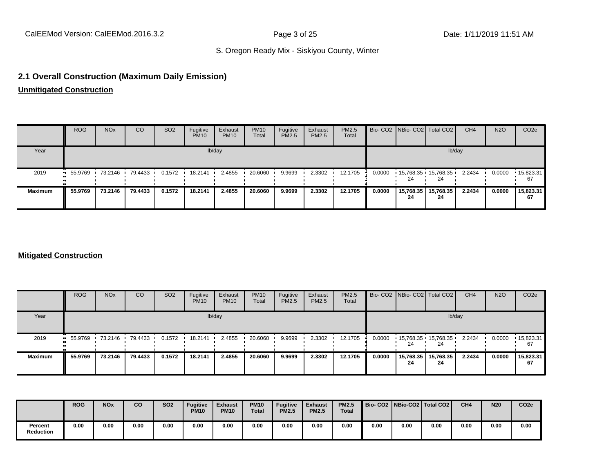#### **2.1 Overall Construction (Maximum Daily Emission)**

**Unmitigated Construction**

|                | <b>ROG</b> | <b>NO<sub>x</sub></b> | <sub>CO</sub> | SO <sub>2</sub> | Fugitive<br><b>PM10</b> | Exhaust<br><b>PM10</b> | <b>PM10</b><br>Total | Fugitive<br>PM2.5 | Exhaust<br><b>PM2.5</b> | <b>PM2.5</b><br>Total |        | Bio- CO2   NBio- CO2   Total CO2 |                 | CH <sub>4</sub> | <b>N2O</b> | CO <sub>2</sub> e       |
|----------------|------------|-----------------------|---------------|-----------------|-------------------------|------------------------|----------------------|-------------------|-------------------------|-----------------------|--------|----------------------------------|-----------------|-----------------|------------|-------------------------|
| Year           |            |                       |               |                 |                         | lb/day                 |                      |                   |                         |                       |        |                                  | lb/day          |                 |            |                         |
| 2019           | $-55.9769$ | $-73.2146$            | 79.4433       | 0.1572          | 18.2141                 | 2.4855                 | 20.6060              | 9.9699            | 2.3302                  | 12.1705               | 0.0000 | $15,768.35$ $15,768.35$<br>24    | 24              | 2.2434          | 0.0000     | $\cdot$ 15,823.31<br>67 |
| <b>Maximum</b> | 55.9769    | 73.2146               | 79.4433       | 0.1572          | 18.2141                 | 2.4855                 | 20.6060              | 9.9699            | 2.3302                  | 12.1705               | 0.0000 | 15,768.35<br>24                  | 15,768.35<br>24 | 2.2434          | 0.0000     | 15,823.31<br>67         |

#### **Mitigated Construction**

|                | <b>ROG</b> | <b>NO<sub>x</sub></b> | CO      | SO <sub>2</sub> | Fugitive<br><b>PM10</b> | Exhaust<br><b>PM10</b> | <b>PM10</b><br>Total | Fugitive<br><b>PM2.5</b> | Exhaust<br>PM2.5 | PM2.5<br>Total |        | Bio- CO2   NBio- CO2   Total CO2 |                 | CH <sub>4</sub> | <b>N2O</b> | CO <sub>2</sub> e |
|----------------|------------|-----------------------|---------|-----------------|-------------------------|------------------------|----------------------|--------------------------|------------------|----------------|--------|----------------------------------|-----------------|-----------------|------------|-------------------|
| Year           |            |                       |         |                 |                         | lb/day                 |                      |                          |                  |                |        |                                  | lb/day          |                 |            |                   |
| 2019           | $-55.9769$ | 73.2146               | 79.4433 | 0.1572          | 18.2141                 | 2.4855                 | 20.6060              | 9.9699                   | 2.3302           | 12.1705        | 0.0000 | $15,768.35$ $15,768.35$          | 24              | 2.2434          | 0.0000     | 15,823.31<br>67   |
| <b>Maximum</b> | 55.9769    | 73.2146               | 79.4433 | 0.1572          | 18.2141                 | 2.4855                 | 20.6060              | 9.9699                   | 2.3302           | 12.1705        | 0.0000 | 15,768.35<br>24                  | 15,768.35<br>24 | 2.2434          | 0.0000     | 15,823.31<br>67   |

|                             | <b>ROG</b> | <b>NO<sub>x</sub></b> | CO   | <b>SO2</b> | <b>Fugitive</b><br><b>PM10</b> | <b>Exhaust</b><br><b>PM10</b> | <b>PM10</b><br><b>Total</b> | <b>Fugitive</b><br><b>PM2.5</b> | <b>Exhaust</b><br><b>PM2.5</b> | <b>PM2.5</b><br><b>Total</b> |      |      | Bio-CO2 NBio-CO2 Total CO2 | CH <sub>4</sub> | <b>N20</b> | CO <sub>2e</sub> |
|-----------------------------|------------|-----------------------|------|------------|--------------------------------|-------------------------------|-----------------------------|---------------------------------|--------------------------------|------------------------------|------|------|----------------------------|-----------------|------------|------------------|
| Percent<br><b>Reduction</b> | 0.00       | 0.00                  | 0.00 | 0.00       | 0.00                           | 0.00                          | 0.00                        | 0.00                            | 0.00                           | 0.00                         | 0.00 | 0.00 | 0.00                       | 0.00            | 0.00       | 0.00             |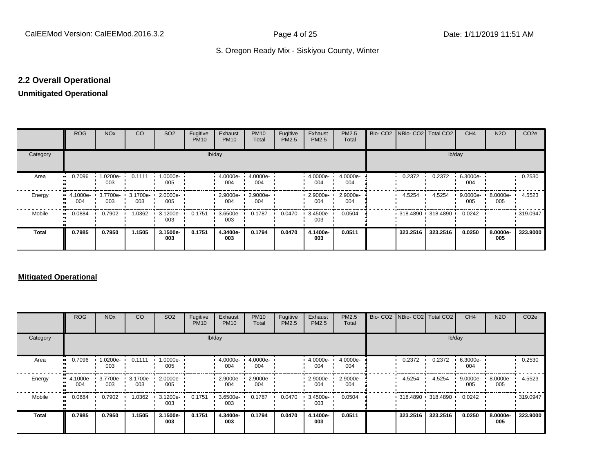#### **2.2 Overall Operational**

#### **Unmitigated Operational**

|          | <b>ROG</b>                     | <b>NO<sub>x</sub></b> | CO     | SO <sub>2</sub>                     | Fugitive<br><b>PM10</b> | Exhaust<br><b>PM10</b>          | <b>PM10</b><br>Total | Fugitive<br>PM2.5 | Exhaust<br>PM2.5 | PM2.5<br>Total  | Bio- CO2   NBio- CO2   Total CO2 |                   | CH <sub>4</sub> | <b>N2O</b>      | CO <sub>2e</sub> |
|----------|--------------------------------|-----------------------|--------|-------------------------------------|-------------------------|---------------------------------|----------------------|-------------------|------------------|-----------------|----------------------------------|-------------------|-----------------|-----------------|------------------|
| Category |                                |                       |        |                                     | lb/day                  |                                 |                      |                   |                  |                 |                                  | lb/day            |                 |                 |                  |
| Area     | 0.7096<br>                     | 1.0200e-<br>003       | 0.1111 | 1.0000e-<br>005                     |                         | 4.0000e-<br>004                 | 4.0000e-<br>004      |                   | 4.0000e-<br>004  | 4.0000e-<br>004 | 0.2372                           | 0.2372            | 6.3000e-<br>004 |                 | 0.2530           |
| Energy   | $\blacksquare$ 4.1000e-<br>004 | 003                   | 003    | 3.7700e- 3.1700e- 2.0000e- 1<br>005 |                         | $\cdot$ 2.9000e- $\cdot$<br>004 | 2.9000e-<br>004      |                   | 2.9000e-<br>004  | 2.9000e-<br>004 | 4.5254                           | 4.5254            | 9.0000e-<br>005 | 8.0000e-<br>005 | 4.5523           |
| Mobile   | 0.0884<br>                     | 0.7902                | 1.0362 | 3.1200e-<br>003                     | 0.1751                  | 3.6500e-<br>003                 | 0.1787               | 0.0470            | 3.4500e-<br>003  | 0.0504          |                                  | 318.4890 318.4890 | 0.0242          |                 | 319.0947         |
| Total    | 0.7985                         | 0.7950                | 1.1505 | 3.1500e-<br>003                     | 0.1751                  | 4.3400e-<br>003                 | 0.1794               | 0.0470            | 4.1400e-<br>003  | 0.0511          | 323.2516                         | 323.2516          | 0.0250          | 8.0000e-<br>005 | 323.9000         |

#### **Mitigated Operational**

|          | ROG             | <b>NO<sub>x</sub></b> | CO              | SO <sub>2</sub> | Fugitive<br><b>PM10</b> | Exhaust<br><b>PM10</b> | <b>PM10</b><br>Total | Fugitive<br>PM2.5 | Exhaust<br>PM2.5  | PM2.5<br>Total  | Bio- CO2 NBio- CO2 Total CO2 |                                  | CH <sub>4</sub>    | <b>N2O</b>      | CO <sub>2e</sub> |
|----------|-----------------|-----------------------|-----------------|-----------------|-------------------------|------------------------|----------------------|-------------------|-------------------|-----------------|------------------------------|----------------------------------|--------------------|-----------------|------------------|
| Category |                 |                       |                 |                 |                         | lb/day                 |                      |                   |                   |                 |                              |                                  | lb/day             |                 |                  |
| Area     | 0.7096          | 1.0200e- ·<br>003     | 0.1111          | 1.0000e-<br>005 |                         | $4.0000e -$<br>004     | 4.0000e-<br>004      |                   | 4.0000e- ·<br>004 | 4.0000e-<br>004 | 0.2372                       | 0.2372                           | 6.3000e-<br>004    |                 | 0.2530           |
| Energy   | 4.1000e-<br>004 | 3.7700e-<br>003       | 3.1700e-<br>003 | 2.0000e-<br>005 |                         | 2.9000e-<br>004        | 2.9000e-<br>004      |                   | 2.9000e-<br>004   | 2.9000e-<br>004 | 4.5254                       | 4.5254                           | $9.0000e -$<br>005 | 8.0000e-<br>005 | 4.5523           |
| Mobile   | 0.0884          | 0.7902                | 1.0362          | 3.1200e-<br>003 | 0.1751                  | 3.6500e-<br>003        | 0.1787               | 0.0470            | 3.4500e-<br>003   | 0.0504          |                              | • 318.4890 • 318.4890 • 0.0242 • |                    |                 | 319.0947         |
| Total    | 0.7985          | 0.7950                | 1.1505          | 3.1500e-<br>003 | 0.1751                  | 4.3400e-<br>003        | 0.1794               | 0.0470            | 4.1400e-<br>003   | 0.0511          | 323.2516                     | 323.2516                         | 0.0250             | 8.0000e-<br>005 | 323.9000         |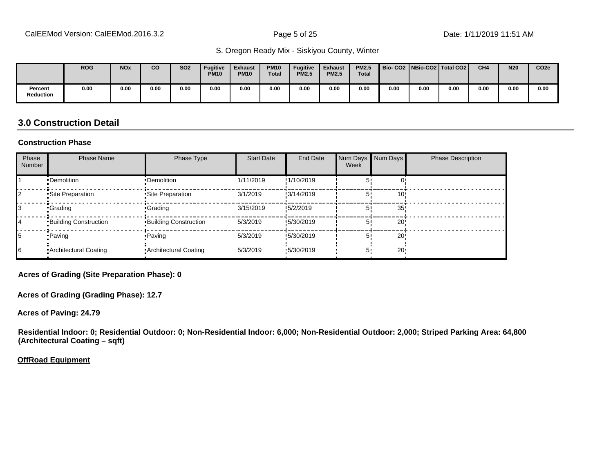|                             | <b>ROG</b> | <b>NO<sub>x</sub></b> | CO   | <b>SO2</b> | <b>Fugitive</b><br>PM10 | <b>Exhaust</b><br><b>PM10</b> | <b>PM10</b><br><b>Total</b> | <b>Fugitive</b><br><b>PM2.5</b> | <b>Exhaust</b><br><b>PM2.5</b> | <b>PM2.5</b><br><b>Total</b> |      |      | Bio-CO2   NBio-CO2   Total CO2 | CH <sub>4</sub> | <b>N20</b> | CO <sub>2e</sub> |
|-----------------------------|------------|-----------------------|------|------------|-------------------------|-------------------------------|-----------------------------|---------------------------------|--------------------------------|------------------------------|------|------|--------------------------------|-----------------|------------|------------------|
| Percent<br><b>Reduction</b> | 0.00       | 0.00                  | 0.00 | 0.00       | 0.00                    | 0.00                          | 0.00                        | 0.00                            | 0.00                           | 0.00                         | 0.00 | 0.00 | 0.00                           | 0.00            | 0.00       | 0.00             |

#### **3.0 Construction Detail**

#### **Construction Phase**

| Phase<br>Number | <b>Phase Name</b>            | Phase Type                   | <b>Start Date</b> | <b>End Date</b> | Num Days<br>Week | Num Days        | <b>Phase Description</b> |
|-----------------|------------------------------|------------------------------|-------------------|-----------------|------------------|-----------------|--------------------------|
|                 | •Demolition                  | •Demolition                  | 1/11/2019         | !1/10/2019      |                  |                 |                          |
|                 | Site Preparation             | Site Preparation             | 13/1/2019         | !3/14/2019      |                  | 10'             |                          |
|                 | •Grading                     | <b>Grading</b>               | 13/15/2019        | !5/2/2019       |                  | 35              |                          |
| 14              | <b>Building Construction</b> | <b>Building Construction</b> | 15/3/2019         | !5/30/2019      |                  | 20!             |                          |
| 15              | • Paving                     | <b>Paving</b>                | 15/3/2019         | !5/30/2019      | 5'               | 20!             |                          |
| 16              | • Architectural Coating      | Architectural Coating        | 15/3/2019         | .5/30/2019      | 5'               | 20 <sup>1</sup> |                          |

**Acres of Grading (Site Preparation Phase): 0**

**Acres of Grading (Grading Phase): 12.7**

**Acres of Paving: 24.79**

**Residential Indoor: 0; Residential Outdoor: 0; Non-Residential Indoor: 6,000; Non-Residential Outdoor: 2,000; Striped Parking Area: 64,800 (Architectural Coating – sqft)**

**OffRoad Equipment**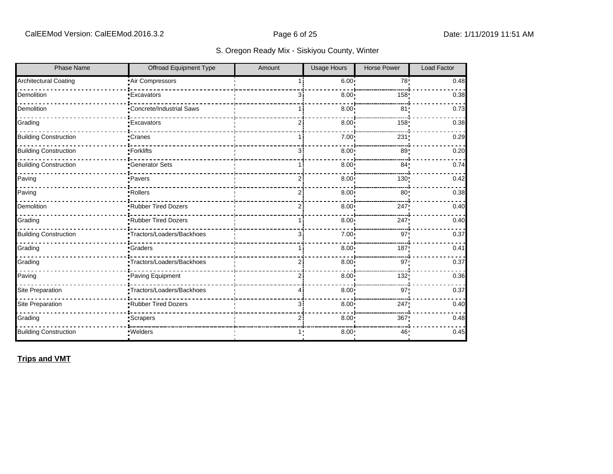| <b>Phase Name</b>            | Offroad Equipment Type     | Amount         | <b>Usage Hours</b> | <b>Horse Power</b> | <b>Load Factor</b> |
|------------------------------|----------------------------|----------------|--------------------|--------------------|--------------------|
| <b>Architectural Coating</b> | Air Compressors            |                | 6.00:              | 78 <sub>1</sub>    | 0.48               |
| Demolition                   | <b>Excavators</b>          | Зi             | $8.00$ !           | 158                | 0.38               |
| Demolition                   | Concrete/Industrial Saws   |                | 8.00               | 81                 | 0.73               |
| Grading                      | <b>Excavators</b>          | $\overline{2}$ | 8.00               | 158 <sub>1</sub>   | 0.38               |
| <b>Building Construction</b> | Cranes                     | 1 i            | 7.00               | 231                | 0.29               |
| <b>Building Construction</b> | Forklifts                  | зi             | 8.00               | 89:                | 0.20               |
| <b>Building Construction</b> | <b>Generator Sets</b>      | 1 i            | 8.00               | 84 <sub>1</sub>    | 0.74               |
| Paving                       | ·Pavers                    | $\overline{2}$ | 8.00               | 130!               | 0.42               |
| Paving                       | -Rollers                   | 2i             | $8.00$ !           | 80:                | 0.38               |
| Demolition                   | Rubber Tired Dozers        | ا 2            | 8.00 <sub>1</sub>  | 247                | 0.40               |
| Grading                      | Rubber Tired Dozers        | 1 i            | 8.00               | 247                | 0.40               |
| <b>Building Construction</b> | Tractors/Loaders/Backhoes  | 3i             | 7.00:              | 97:                | 0.37               |
| Grading                      | <b>Graders</b>             | 1 i            | 8.00               | 187                | 0.41               |
| Grading                      | •Tractors/Loaders/Backhoes | 2i             | 8.00               | 97!                | 0.37               |
| Paving                       | Paving Equipment           | $\overline{2}$ | 8.00               | 132!               | 0.36               |
| <b>Site Preparation</b>      | Tractors/Loaders/Backhoes  | 41             | 8.00               | 97 <sub>1</sub>    | 0.37               |
| Site Preparation             | Rubber Tired Dozers        | з:             | 8.00 <sub>1</sub>  | 247                | 0.40               |
| Grading                      | Scrapers                   | $\overline{2}$ | 8.00 <sub>1</sub>  | 367                | 0.48               |
| <b>Building Construction</b> | · Welders                  | 1:             | 8.00               | 46'                | 0.45               |

**Trips and VMT**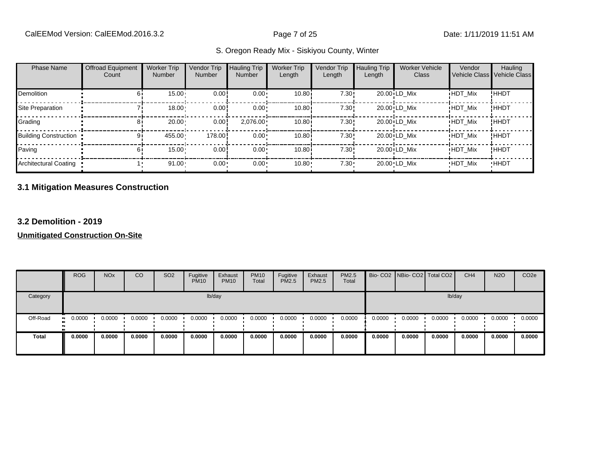| <b>Phase Name</b>            | <b>Offroad Equipment</b><br>Count | <b>Worker Trip</b><br>Number | Vendor Trip<br><b>Number</b> | <b>Hauling Trip</b><br><b>Number</b> | <b>Worker Trip</b><br>Length | Vendor Trip<br>Length | <b>Hauling Trip</b><br>Length | <b>Worker Vehicle</b><br>Class | Vendor<br>Vehicle Class Vehicle Class | Hauling     |
|------------------------------|-----------------------------------|------------------------------|------------------------------|--------------------------------------|------------------------------|-----------------------|-------------------------------|--------------------------------|---------------------------------------|-------------|
| <b>Demolition</b>            |                                   | $15.00 -$                    | 0.00                         | $0.00 \cdot$                         | 10.80i                       | 7.30!                 |                               | 20.00 LD Mix                   | <b>HDT Mix</b>                        | !ННDТ       |
| Site Preparation             |                                   | $18.00 -$                    | 0.00!                        | $0.00 \cdot$                         | 10.80i                       | 7.30!                 |                               | 20.00 LD Mix                   | <b>HDT Mix</b>                        | !HHDT       |
| Grading                      |                                   | 20.00                        | 0.00!                        | $2,076.00 \cdot$                     | 10.80                        | 7.30!                 |                               | 20.00 LD Mix                   | <b>HDT Mix</b>                        | !HHDT       |
| <b>Building Construction</b> |                                   | 455.00                       | 178.00                       | $0.00 \cdot$                         | 10.80i                       | 7.30!                 |                               | 20.00 LD Mix                   | <b>HDT Mix</b>                        | !HHDT       |
| Paving                       |                                   | $15.00 \cdot$                | 0.00                         | $0.00 \cdot$                         | 10.80i                       | 7.30!                 |                               | 20.00 LD Mix                   | <b>HDT Mix</b>                        | !HHDT       |
| Architectural Coating        |                                   | 91.00                        | 0.00 <sub>1</sub>            | 0.00                                 | 10.80                        | $7.30 \cdot$          |                               | 20.00 LD Mix                   | <b>HDT Mix</b>                        | <b>HHDT</b> |

#### **3.1 Mitigation Measures Construction**

#### **3.2 Demolition - 2019**

|              | <b>ROG</b>                 | <b>NO<sub>x</sub></b> | CO     | SO <sub>2</sub> | Fugitive<br><b>PM10</b> | Exhaust<br><b>PM10</b> | <b>PM10</b><br>Total | Fugitive<br>PM2.5 | Exhaust<br>PM2.5 | PM2.5<br><b>Total</b> |        | Bio- CO2 NBio- CO2 Total CO2 |        | CH <sub>4</sub> | <b>N2O</b> | CO <sub>2e</sub> |
|--------------|----------------------------|-----------------------|--------|-----------------|-------------------------|------------------------|----------------------|-------------------|------------------|-----------------------|--------|------------------------------|--------|-----------------|------------|------------------|
| Category     |                            |                       |        |                 |                         | lb/day                 |                      |                   |                  |                       |        |                              | lb/day |                 |            |                  |
| Off-Road     | 0.0000<br>$\bullet\bullet$ | 0.0000                | 0.0000 | 0.0000          | 0.0000                  | 0.0000                 | 0.0000               | 0.0000            | 0.0000           | 0.0000                | 0.0000 | 0.0000                       | 0.0000 | 0.0000          | 0.0000     | 0.0000           |
| <b>Total</b> | 0.0000                     | 0.0000                | 0.0000 | 0.0000          | 0.0000                  | 0.0000                 | 0.0000               | 0.0000            | 0.0000           | 0.0000                | 0.0000 | 0.0000                       | 0.0000 | 0.0000          | 0.0000     | 0.0000           |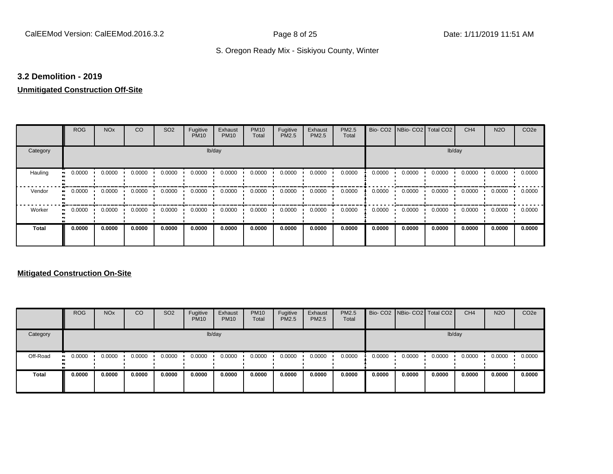#### **3.2 Demolition - 2019**

### **Unmitigated Construction Off-Site**

|                     | <b>ROG</b> | <b>NO<sub>x</sub></b> | CO     | SO <sub>2</sub> | Fugitive<br><b>PM10</b> | Exhaust<br><b>PM10</b> | <b>PM10</b><br>Total | Fugitive<br>PM2.5 | Exhaust<br>PM2.5 | PM2.5<br>Total | Bio-CO <sub>2</sub> | NBio- CO2   Total CO2 |        | CH <sub>4</sub> | <b>N2O</b> | CO <sub>2e</sub> |
|---------------------|------------|-----------------------|--------|-----------------|-------------------------|------------------------|----------------------|-------------------|------------------|----------------|---------------------|-----------------------|--------|-----------------|------------|------------------|
| Category            |            |                       |        |                 | lb/day                  |                        |                      |                   |                  |                |                     |                       | lb/day |                 |            |                  |
| Hauling             | 0.0000     | 0.0000                | 0.0000 | 0.0000          | 0.0000                  | 0.0000                 | 0.0000               | 0.0000            | 0.0000           | 0.0000         | 0.0000              | 0.0000                | 0.0000 | 0.0000          | 0.0000     | 0.0000           |
| Vendor              | 0.0000     | 0.0000                | 0.0000 | 0.0000          | 0.0000                  | 0.0000                 | 0.0000               | 0.0000            | 0.0000           | 0.0000         | 0.0000              | 0.0000                | 0.0000 | 0.0000          | 0.0000     | 0.0000           |
| Worker<br>$\bullet$ | 0.0000     | 0.0000                | 0.0000 | 0.0000          | 0.0000                  | 0.0000                 | 0.0000               | 0.0000            | 0.0000           | 0.0000         | 0.0000              | 0.0000                | 0.0000 | 0.0000          | 0.0000     | 0.0000           |
| Total               | 0.0000     | 0.0000                | 0.0000 | 0.0000          | 0.0000                  | 0.0000                 | 0.0000               | 0.0000            | 0.0000           | 0.0000         | 0.0000              | 0.0000                | 0.0000 | 0.0000          | 0.0000     | 0.0000           |

|              | <b>ROG</b>           | <b>NO<sub>x</sub></b> | CO     | SO <sub>2</sub> | Fugitive<br><b>PM10</b> | Exhaust<br><b>PM10</b> | <b>PM10</b><br>Total | Fugitive<br><b>PM2.5</b> | Exhaust<br><b>PM2.5</b> | <b>PM2.5</b><br>Total |        | Bio- CO2 NBio- CO2 Total CO2 |        | CH <sub>4</sub> | <b>N2O</b> | CO <sub>2e</sub> |
|--------------|----------------------|-----------------------|--------|-----------------|-------------------------|------------------------|----------------------|--------------------------|-------------------------|-----------------------|--------|------------------------------|--------|-----------------|------------|------------------|
| Category     |                      |                       |        |                 |                         | lb/day                 |                      |                          |                         |                       |        |                              |        | lb/day          |            |                  |
| Off-Road     | 0.0000<br><b>ALC</b> | 0.0000                | 0.0000 | 0.0000          | 0.0000                  | 0.0000                 | 0.0000               | 0.0000                   | 0.0000                  | 0.0000                | 0.0000 | 0.0000                       | 0.0000 | 0.0000          | 0.0000     | 0.0000           |
| <b>Total</b> | 0.0000               | 0.0000                | 0.0000 | 0.0000          | 0.0000                  | 0.0000                 | 0.0000               | 0.0000                   | 0.0000                  | 0.0000                | 0.0000 | 0.0000                       | 0.0000 | 0.0000          | 0.0000     | 0.0000           |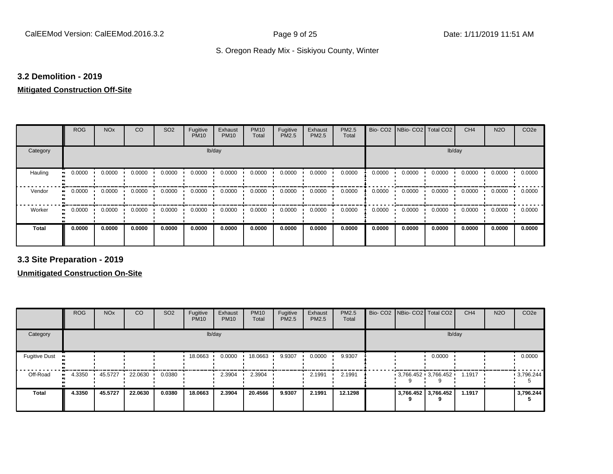#### **3.2 Demolition - 2019**

#### **Mitigated Construction Off-Site**

|              | <b>ROG</b> | <b>NO<sub>x</sub></b> | CO     | SO <sub>2</sub> | Fugitive<br><b>PM10</b> | Exhaust<br><b>PM10</b> | <b>PM10</b><br>Total | Fugitive<br>PM2.5 | Exhaust<br>PM2.5 | PM2.5<br>Total | Bio-CO <sub>2</sub> | NBio- CO2   Total CO2 |        | CH <sub>4</sub> | <b>N2O</b> | CO <sub>2e</sub> |
|--------------|------------|-----------------------|--------|-----------------|-------------------------|------------------------|----------------------|-------------------|------------------|----------------|---------------------|-----------------------|--------|-----------------|------------|------------------|
| Category     |            |                       |        |                 | lb/day                  |                        |                      |                   |                  |                |                     |                       | lb/day |                 |            |                  |
| Hauling      | 0.0000     | 0.0000                | 0.0000 | 0.0000          | 0.0000                  | 0.0000                 | 0.0000               | 0.0000            | 0.0000           | 0.0000         | 0.0000              | 0.0000                | 0.0000 | 0.0000          | 0.0000     | 0.0000           |
| Vendor       | 0.0000     | 0.0000                | 0.0000 | 0.0000          | 0.0000                  | 0.0000                 | 0.0000               | 0.0000            | 0.0000           | 0.0000         | 0.0000              | 0.0000                | 0.0000 | 0.0000          | 0.0000     | 0.0000           |
| Worker       | 0.0000     | 0.0000                | 0.0000 | 0.0000          | 0.0000                  | 0.0000                 | 0.0000               | 0.0000            | 0.0000           | 0.0000         | 0.0000              | 0.0000                | 0.0000 | 0.0000          | 0.0000     | 0.0000           |
| <b>Total</b> | 0.0000     | 0.0000                | 0.0000 | 0.0000          | 0.0000                  | 0.0000                 | 0.0000               | 0.0000            | 0.0000           | 0.0000         | 0.0000              | 0.0000                | 0.0000 | 0.0000          | 0.0000     | 0.0000           |

**3.3 Site Preparation - 2019**

|                                        | <b>ROG</b> | <b>NO<sub>x</sub></b> | CO      | SO <sub>2</sub> | Fugitive<br><b>PM10</b> | Exhaust<br><b>PM10</b> | <b>PM10</b><br>Total | Fugitive<br><b>PM2.5</b> | Exhaust<br>PM2.5 | PM2.5<br>Total |  | Bio- CO2   NBio- CO2   Total CO2 | CH <sub>4</sub> | <b>N2O</b> | CO <sub>2e</sub> |
|----------------------------------------|------------|-----------------------|---------|-----------------|-------------------------|------------------------|----------------------|--------------------------|------------------|----------------|--|----------------------------------|-----------------|------------|------------------|
| Category                               |            |                       |         |                 |                         | lb/day                 |                      |                          |                  |                |  | lb/day                           |                 |            |                  |
| <b>Fugitive Dust</b><br>$\blacksquare$ |            |                       |         |                 | 18.0663                 | 0.0000                 | 18.0663              | 9.9307                   | 0.0000           | 9.9307         |  | 0.0000                           |                 |            | 0.0000           |
| Off-Road<br>$\bullet$                  | 4.3350     | 45.5727               | 22.0630 | 0.0380          |                         | 2.3904                 | 2.3904               |                          | 2.1991           | 2.1991         |  | $3.766.452 \cdot 3.766.452$      | 1.1917          |            | 9,796.244        |
| <b>Total</b>                           | 4.3350     | 45.5727               | 22.0630 | 0.0380          | 18.0663                 | 2.3904                 | 20.4566              | 9.9307                   | 2.1991           | 12.1298        |  | 3,766.452 3,766.452              | 1.1917          |            | 3,796.244        |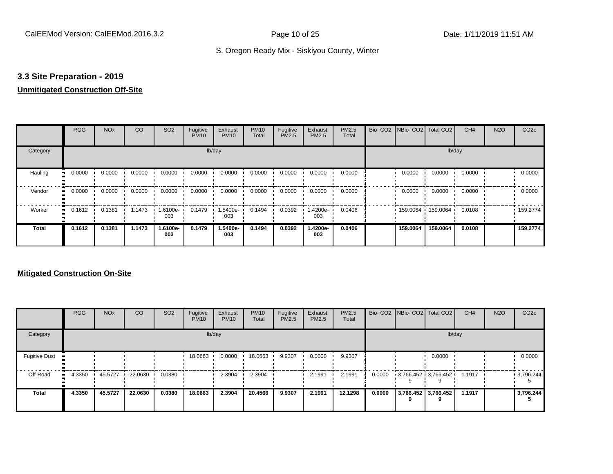#### **3.3 Site Preparation - 2019**

#### **Unmitigated Construction Off-Site**

|                     | <b>ROG</b>   | <b>NO<sub>x</sub></b> | CO     | SO <sub>2</sub> | Fugitive<br><b>PM10</b> | Exhaust<br><b>PM10</b> | <b>PM10</b><br>Total | Fugitive<br>PM2.5 | Exhaust<br>PM2.5 | PM2.5<br>Total | Bio-CO <sub>2</sub> | NBio- CO2   Total CO2 |          | CH <sub>4</sub> | <b>N2O</b> | CO <sub>2e</sub> |
|---------------------|--------------|-----------------------|--------|-----------------|-------------------------|------------------------|----------------------|-------------------|------------------|----------------|---------------------|-----------------------|----------|-----------------|------------|------------------|
| Category            |              |                       |        |                 | lb/day                  |                        |                      |                   |                  |                |                     |                       | lb/day   |                 |            |                  |
| Hauling             | 0.0000       | 0.0000                | 0.0000 | 0.0000          | 0.0000                  | 0.0000                 | 0.0000               | 0.0000            | 0.0000           | 0.0000         |                     | 0.0000                | 0.0000   | 0.0000          |            | 0.0000           |
| Vendor<br>$\bullet$ | 0.0000       | 0.0000                | 0.0000 | 0.0000          | 0.0000                  | 0.0000                 | 0.0000               | 0.0000            | 0.0000           | 0.0000         |                     | 0.0000                | 0.0000   | 0.0000          |            | 0.0000           |
| Worker              | 0.1612<br>ш. | 0.1381                | 1.1473 | 1.6100e-<br>003 | 0.1479                  | 1.5400e-<br>003        | 0.1494               | 0.0392            | .4200e-<br>003   | 0.0406         |                     | 159.0064              | 159.0064 | 0.0108          |            | .159.2774        |
| <b>Total</b>        | 0.1612       | 0.1381                | 1.1473 | 1.6100e-<br>003 | 0.1479                  | 1.5400e-<br>003        | 0.1494               | 0.0392            | 1.4200e-<br>003  | 0.0406         |                     | 159.0064              | 159.0064 | 0.0108          |            | 159,2774         |

|                      | <b>ROG</b>   | <b>NO<sub>x</sub></b> | CO      | SO <sub>2</sub> | Fugitive<br><b>PM10</b> | Exhaust<br><b>PM10</b> | <b>PM10</b><br>Total | Fugitive<br>PM2.5 | Exhaust<br><b>PM2.5</b> | PM2.5<br>Total |        | Bio- CO2   NBio- CO2   Total CO2 |                     | CH <sub>4</sub> | <b>N2O</b> | CO <sub>2e</sub> |
|----------------------|--------------|-----------------------|---------|-----------------|-------------------------|------------------------|----------------------|-------------------|-------------------------|----------------|--------|----------------------------------|---------------------|-----------------|------------|------------------|
| Category             |              |                       |         |                 |                         | lb/day                 |                      |                   |                         |                |        |                                  | lb/day              |                 |            |                  |
| <b>Fugitive Dust</b> |              |                       |         |                 | 18.0663                 | 0.0000                 | 18.0663              | 9.9307            | 0.0000                  | 9.9307         |        |                                  | 0.0000              |                 |            | 0.0000           |
| Off-Road             | 4.3350<br>ш. | 45.5727               | 22.0630 | 0.0380          |                         | 2.3904                 | 2.3904               |                   | 2.1991                  | 2.1991         | 0.0000 | $3,766.452$ $3,766.452$          |                     | 1.1917          |            | .3796.244        |
| <b>Total</b>         | 4.3350       | 45.5727               | 22.0630 | 0.0380          | 18.0663                 | 2.3904                 | 20.4566              | 9.9307            | 2.1991                  | 12.1298        | 0.0000 |                                  | 3,766.452 3,766.452 | 1.1917          |            | 3,796.244        |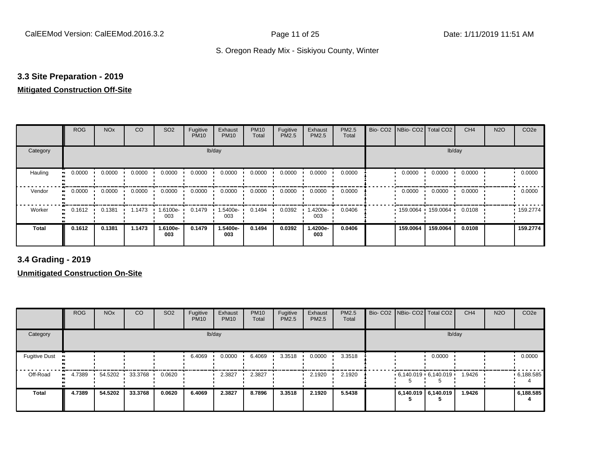#### **3.3 Site Preparation - 2019**

#### **Mitigated Construction Off-Site**

|                      | <b>ROG</b>                 | <b>NO<sub>x</sub></b> | CO     | SO <sub>2</sub> | Fugitive<br><b>PM10</b> | Exhaust<br><b>PM10</b> | <b>PM10</b><br>Total | Fugitive<br>PM2.5 | Exhaust<br>PM2.5 | PM2.5<br>Total | Bio- CO2   NBio- CO2   Total CO2 |          | CH <sub>4</sub> | <b>N2O</b> | CO <sub>2e</sub> |
|----------------------|----------------------------|-----------------------|--------|-----------------|-------------------------|------------------------|----------------------|-------------------|------------------|----------------|----------------------------------|----------|-----------------|------------|------------------|
| Category             |                            |                       |        |                 |                         | lb/day                 |                      |                   |                  |                |                                  |          | lb/day          |            |                  |
| Hauling<br>$\bullet$ | 0.0000                     | 0.0000                | 0.0000 | 0.0000          | 0.0000                  | 0.0000                 | 0.0000               | 0.0000            | 0.0000           | 0.0000         | 0.0000                           | 0.0000   | 0.0000          |            | 0.0000           |
| Vendor               | 0.0000<br>$\bullet\bullet$ | 0.0000                | 0.0000 | 0.0000          | 0.0000                  | 0.0000                 | 0.0000               | 0.0000            | 0.0000           | 0.0000         | 0.0000                           | 0.0000   | 0.0000          |            | 0.0000           |
| Worker<br>$\bullet$  | 0.1612                     | 0.1381                | 1.1473 | 1.6100e-<br>003 | 0.1479                  | 1.5400e-<br>003        | 0.1494               | 0.0392            | $.4200e-$<br>003 | 0.0406         | 159.0064 159.0064                |          | 0.0108          |            | .159.2774        |
| <b>Total</b>         | 0.1612                     | 0.1381                | 1.1473 | 1.6100e-<br>003 | 0.1479                  | 1.5400e-<br>003        | 0.1494               | 0.0392            | 1.4200e-<br>003  | 0.0406         | 159.0064                         | 159.0064 | 0.0108          |            | 159.2774         |

**3.4 Grading - 2019**

|                      | <b>ROG</b> | <b>NO<sub>x</sub></b> | CO      | SO <sub>2</sub> | Fugitive<br><b>PM10</b> | Exhaust<br><b>PM10</b> | <b>PM10</b><br>Total | Fugitive<br><b>PM2.5</b> | Exhaust<br>PM2.5 | <b>PM2.5</b><br>Total |                     | Bio- CO2   NBio- CO2   Total CO2 | CH <sub>4</sub> | <b>N2O</b> | CO <sub>2e</sub> |
|----------------------|------------|-----------------------|---------|-----------------|-------------------------|------------------------|----------------------|--------------------------|------------------|-----------------------|---------------------|----------------------------------|-----------------|------------|------------------|
| Category             |            |                       |         |                 |                         | lb/day                 |                      |                          |                  |                       |                     | lb/day                           |                 |            |                  |
| <b>Fugitive Dust</b> |            |                       |         |                 | 6.4069                  | 0.0000                 | 6.4069               | 3.3518                   | 0.0000           | 3.3518                |                     | 0.0000                           |                 |            | 0.0000           |
| Off-Road             | 4.7389     | 54.5202               | 33.3768 | 0.0620          |                         | 2.3827                 | 2.3827               |                          | 2.1920           | 2.1920                |                     | $6,140.019$ 6,140.019            | 1.9426          |            | .6,188.585       |
| <b>Total</b>         | 4.7389     | 54.5202               | 33.3768 | 0.0620          | 6.4069                  | 2.3827                 | 8.7896               | 3.3518                   | 2.1920           | 5.5438                | 6,140.019 6,140.019 |                                  | 1.9426          |            | 6,188.585        |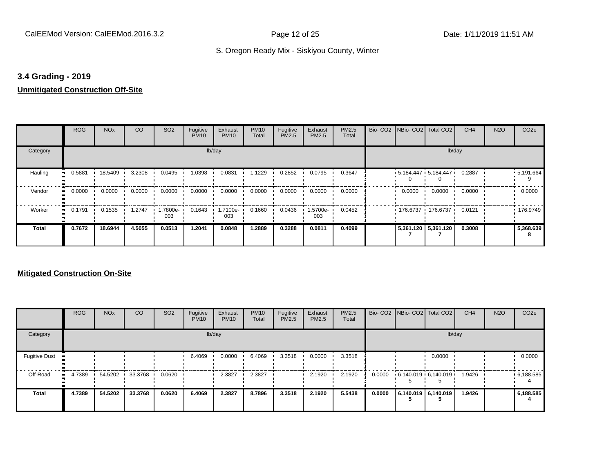#### **3.4 Grading - 2019**

#### **Unmitigated Construction Off-Site**

|                           | <b>ROG</b> | <b>NO<sub>x</sub></b> | CO     | SO <sub>2</sub> | Fugitive<br><b>PM10</b> | Exhaust<br><b>PM10</b> | <b>PM10</b><br>Total | Fugitive<br>PM2.5 | Exhaust<br>PM2.5 | PM2.5<br>Total | Bio- CO2   NBio- CO2   Total CO2 |                       | CH <sub>4</sub> | <b>N2O</b> | CO <sub>2e</sub> |
|---------------------------|------------|-----------------------|--------|-----------------|-------------------------|------------------------|----------------------|-------------------|------------------|----------------|----------------------------------|-----------------------|-----------------|------------|------------------|
| Category                  |            |                       |        |                 | lb/day                  |                        |                      |                   |                  |                |                                  |                       | lb/day          |            |                  |
| Hauling<br>$\blacksquare$ | 0.5881     | 18.5409               | 3.2308 | 0.0495          | 1.0398                  | 0.0831                 | 1.1229               | 0.2852            | 0.0795           | 0.3647         | $5,184.447$ $5,184.447$          |                       | 0.2887          |            | .5,191.664       |
| Vendor<br>$\bullet$       | 0.0000     | 0.0000                | 0.0000 | 0.0000          | 0.0000                  | 0.0000                 | 0.0000               | 0.0000            | 0.0000           | 0.0000         | 0.0000                           | 0.0000                | 0.0000          |            | 0.0000           |
| Worker<br>$\bullet$       | 0.1791     | 0.1535                | 1.2747 | -.7800e<br>003  | 0.1643                  | 1.7100e-<br>003        | 0.1660               | 0.0436            | .5700e-<br>003   | 0.0452         | 176.6737 176.6737                |                       | 0.0121          |            | 176.9749         |
| <b>Total</b>              | 0.7672     | 18.6944               | 4.5055 | 0.0513          | 1.2041                  | 0.0848                 | 1.2889               | 0.3288            | 0.0811           | 0.4099         |                                  | 5,361.120   5,361.120 | 0.3008          |            | 5,368.639        |

|                      | <b>ROG</b> | <b>NO<sub>x</sub></b> | <b>CO</b> | SO <sub>2</sub> | Fugitive<br><b>PM10</b> | Exhaust<br><b>PM10</b> | <b>PM10</b><br>Total | Fugitive<br><b>PM2.5</b> | Exhaust<br><b>PM2.5</b> | PM2.5<br>Total |        | Bio- CO2   NBio- CO2   Total CO2 |                     | CH <sub>4</sub> | <b>N2O</b> | CO <sub>2e</sub> |
|----------------------|------------|-----------------------|-----------|-----------------|-------------------------|------------------------|----------------------|--------------------------|-------------------------|----------------|--------|----------------------------------|---------------------|-----------------|------------|------------------|
| Category             |            |                       |           |                 |                         | lb/day                 |                      |                          |                         |                |        |                                  | lb/day              |                 |            |                  |
| <b>Fugitive Dust</b> |            |                       |           |                 | 6.4069                  | 0.0000                 | 6.4069               | 3.3518                   | 0.0000                  | 3.3518         |        |                                  | 0.0000              |                 |            | 0.0000           |
| Off-Road             | 4.7389<br> | 54.5202               | 33.3768   | 0.0620          |                         | 2.3827                 | 2.3827               |                          | 2.1920                  | 2.1920         | 0.0000 | $6.140.019 \cdot 6.140.019$      |                     | 1.9426          |            | .6,188.585       |
| <b>Total</b>         | 4.7389     | 54.5202               | 33,3768   | 0.0620          | 6.4069                  | 2.3827                 | 8.7896               | 3.3518                   | 2.1920                  | 5.5438         | 0.0000 |                                  | 6,140.019 6,140.019 | 1.9426          |            | 6,188.585        |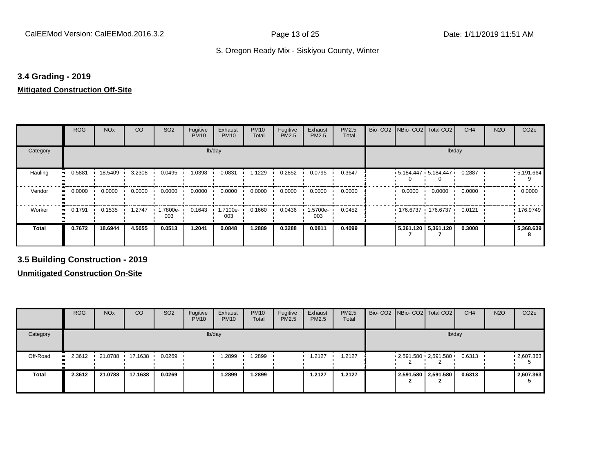#### **3.4 Grading - 2019**

#### **Mitigated Construction Off-Site**

|            | <b>ROG</b> | <b>NO<sub>x</sub></b> | CO     | SO <sub>2</sub> | Fugitive<br><b>PM10</b> | Exhaust<br><b>PM10</b> | <b>PM10</b><br>Total | Fugitive<br>PM2.5 | Exhaust<br>PM2.5 | PM2.5<br>Total | Bio-CO <sub>2</sub> | NBio- CO2   Total CO2 |                         | CH <sub>4</sub> | <b>N2O</b> | CO <sub>2e</sub> |
|------------|------------|-----------------------|--------|-----------------|-------------------------|------------------------|----------------------|-------------------|------------------|----------------|---------------------|-----------------------|-------------------------|-----------------|------------|------------------|
| Category   |            |                       |        |                 | lb/day                  |                        |                      |                   |                  |                |                     |                       | lb/day                  |                 |            |                  |
| Hauling    | 0.5881     | 18.5409               | 3.2308 | 0.0495          | 1.0398                  | 0.0831                 | .1229                | 0.2852            | 0.0795           | 0.3647         |                     |                       | $5,184.447$ $5,184.447$ | 0.2887          |            | .5,191.664       |
| Vendor     | 0.0000     | 0.0000                | 0.0000 | 0.0000          | 0.0000                  | 0.0000                 | 0.0000               | 0.0000            | 0.0000           | 0.0000         |                     | 0.0000                | 0.0000                  | 0.0000          |            | 0.0000           |
| Worker<br> | 0.1791     | 0.1535                | 1.2747 | 1.7800e-<br>003 | 0.1643                  | 1.7100e-<br>003        | 0.1660               | 0.0436            | 1.5700e-<br>003  | 0.0452         |                     | 176.6737 176.6737     |                         | 0.0121          |            | $\cdot$ 176.9749 |
| Total      | 0.7672     | 18.6944               | 4.5055 | 0.0513          | 1.2041                  | 0.0848                 | 1.2889               | 0.3288            | 0.0811           | 0.4099         |                     |                       | 5,361.120 5,361.120     | 0.3008          |            | 5,368.639        |

**3.5 Building Construction - 2019**

|              | <b>ROG</b>          | <b>NO<sub>x</sub></b> | CO              | SO <sub>2</sub> | Fugitive<br><b>PM10</b> | Exhaust<br><b>PM10</b> | <b>PM10</b><br>Total | Fugitive<br><b>PM2.5</b> | Exhaust<br>PM2.5 | <b>PM2.5</b><br>Total |  | Bio- CO2   NBio- CO2   Total CO2 | CH <sub>4</sub> | <b>N2O</b> | CO <sub>2e</sub> |
|--------------|---------------------|-----------------------|-----------------|-----------------|-------------------------|------------------------|----------------------|--------------------------|------------------|-----------------------|--|----------------------------------|-----------------|------------|------------------|
| Category     |                     |                       |                 |                 |                         | lb/day                 |                      |                          |                  |                       |  | lb/day                           |                 |            |                  |
| Off-Road     | 2.3612<br><b>BL</b> |                       | 21.0788 17.1638 | 0.0269          |                         | .2899                  | .2899                |                          | 1.2127           | 1.2127                |  | $2,591.580$ $2,591.580$ $\cdot$  | 0.6313          |            | $-2,607.363$     |
| <b>Total</b> | 2.3612              | 21.0788               | 17.1638         | 0.0269          |                         | 2899.،                 | 1.2899               |                          | 1.2127           | 1.2127                |  | 2,591.580 2,591.580              | 0.6313          |            | 2,607.363        |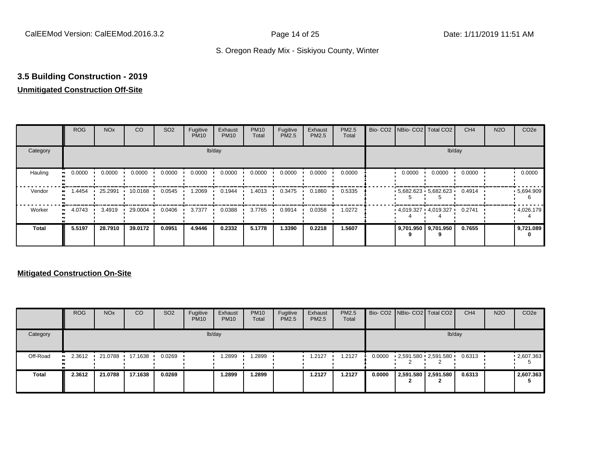## **3.5 Building Construction - 2019**

#### **Unmitigated Construction Off-Site**

|                      | <b>ROG</b> | <b>NO<sub>x</sub></b> | CO      | SO <sub>2</sub> | Fugitive<br><b>PM10</b> | Exhaust<br><b>PM10</b> | <b>PM10</b><br>Total | Fugitive<br>PM2.5 | Exhaust<br>PM2.5 | PM2.5<br>Total |        | Bio- CO2   NBio- CO2   Total CO2 | CH <sub>4</sub> | <b>N2O</b> | CO <sub>2e</sub> |
|----------------------|------------|-----------------------|---------|-----------------|-------------------------|------------------------|----------------------|-------------------|------------------|----------------|--------|----------------------------------|-----------------|------------|------------------|
| Category             |            |                       |         |                 | lb/day                  |                        |                      |                   |                  |                |        |                                  | lb/day          |            |                  |
| Hauling<br>$\bullet$ | 0.0000     | 0.0000                | 0.0000  | 0.0000          | 0.0000                  | 0.0000                 | 0.0000               | 0.0000            | 0.0000           | 0.0000         | 0.0000 | 0.0000                           | 0.0000          |            | 0.0000           |
| Vendor<br>$\bullet$  | 1.4454     | 25.2991               | 10.0168 | 0.0545          | 1.2069                  | 0.1944                 | .4013                | 0.3475            | 0.1860           | 0.5335         |        | $5,682.623$ $5,682.623$          | 0.4914          |            | .5694.909        |
| Worker<br>$\bullet$  | 4.0743     | 3.4919                | 29.0004 | 0.0406          | 3.7377                  | 0.0388                 | 3.7765               | 0.9914            | 0.0358           | 1.0272         |        | $4,019.327$ $4,019.327$          | 0.2741          |            | .4,026.179       |
| <b>Total</b>         | 5.5197     | 28.7910               | 39.0172 | 0.0951          | 4.9446                  | 0.2332                 | 5.1778               | 1.3390            | 0.2218           | 1.5607         |        | 9,701.950 9,701.950              | 0.7655          |            | 9,721.089        |

|              | <b>ROG</b>          | <b>NO<sub>x</sub></b> | CO              | SO <sub>2</sub> | Fugitive<br><b>PM10</b> | Exhaust<br><b>PM10</b> | <b>PM10</b><br>Total | Fugitive<br><b>PM2.5</b> | Exhaust<br><b>PM2.5</b> | PM2.5<br>Total |        | Bio- CO2 NBio- CO2   Total CO2           | CH <sub>4</sub> | <b>N2O</b> | CO <sub>2</sub> e |
|--------------|---------------------|-----------------------|-----------------|-----------------|-------------------------|------------------------|----------------------|--------------------------|-------------------------|----------------|--------|------------------------------------------|-----------------|------------|-------------------|
| Category     |                     |                       |                 |                 |                         | lb/day                 |                      |                          |                         |                |        |                                          | lb/day          |            |                   |
| Off-Road     | 2.3612<br>$\bullet$ |                       | 21.0788 17.1638 | 0.0269          |                         | .2899                  | .2899                |                          | 1.2127                  | 1.2127         | 0.0000 | $2,591.580 \cdot 2,591.580 \cdot 0.6313$ |                 |            | $-2,607.363$      |
| <b>Total</b> | 2.3612              | 21.0788               | 17.1638         | 0.0269          |                         | 1.2899                 | 1.2899               |                          | 1.2127                  | 1.2127         | 0.0000 | 2,591.580 2,591.580                      | 0.6313          |            | 2,607.363         |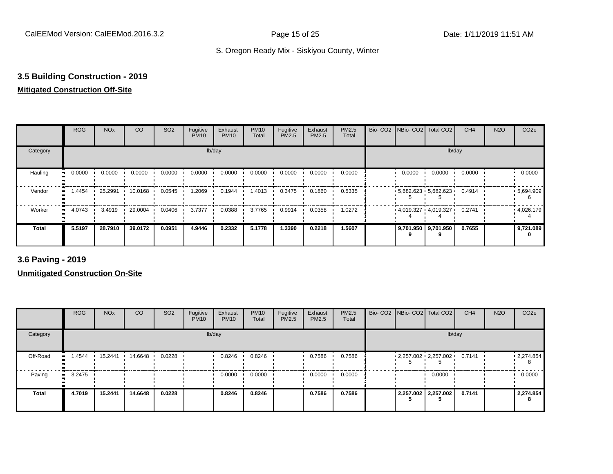## **3.5 Building Construction - 2019**

#### **Mitigated Construction Off-Site**

|              | <b>ROG</b> | <b>NO<sub>x</sub></b> | CO      | SO <sub>2</sub> | Fugitive<br><b>PM10</b> | Exhaust<br><b>PM10</b> | <b>PM10</b><br>Total | Fugitive<br>PM2.5 | Exhaust<br>PM2.5 | PM2.5<br>Total |        | Bio- CO2   NBio- CO2   Total CO2 | CH <sub>4</sub> | <b>N2O</b> | CO <sub>2e</sub> |
|--------------|------------|-----------------------|---------|-----------------|-------------------------|------------------------|----------------------|-------------------|------------------|----------------|--------|----------------------------------|-----------------|------------|------------------|
| Category     |            |                       |         |                 | lb/day                  |                        |                      |                   |                  |                |        | lb/day                           |                 |            |                  |
| Hauling      | 0.0000     | 0.0000                | 0.0000  | 0.0000          | 0.0000                  | 0.0000                 | 0.0000               | 0.0000            | 0.0000           | 0.0000         | 0.0000 | 0.0000                           | 0.0000          |            | 0.0000           |
| Vendor       | 1.4454     | 25.2991               | 10.0168 | 0.0545          | 1.2069                  | 0.1944                 | 1.4013               | 0.3475            | 0.1860           | 0.5335         |        | $5,682.623$ 5,682.623            | 0.4914          |            | .5,694.909       |
| Worker<br>п. | 4.0743     | 3.4919                | 29.0004 | 0.0406          | 3.7377                  | 0.0388                 | 3.7765               | 0.9914            | 0.0358           | 1.0272         |        | $4,019.327$ $4,019.327$          | 0.2741          |            | .4,026.179       |
| <b>Total</b> | 5.5197     | 28.7910               | 39.0172 | 0.0951          | 4.9446                  | 0.2332                 | 5.1778               | 1.3390            | 0.2218           | 1.5607         |        | 9,701.950 9,701.950              | 0.7655          |            | 9,721.089        |

**3.6 Paving - 2019**

|              | <b>ROG</b> | <b>NO<sub>x</sub></b> | CO      | SO <sub>2</sub> | Fugitive<br><b>PM10</b> | Exhaust<br><b>PM10</b> | <b>PM10</b><br>Total | Fugitive<br><b>PM2.5</b> | Exhaust<br>PM2.5 | <b>PM2.5</b><br>Total |  | Bio- CO2 NBio- CO2 Total CO2 | CH <sub>4</sub> | <b>N2O</b> | CO <sub>2e</sub> |
|--------------|------------|-----------------------|---------|-----------------|-------------------------|------------------------|----------------------|--------------------------|------------------|-----------------------|--|------------------------------|-----------------|------------|------------------|
| Category     |            |                       |         |                 |                         | lb/day                 |                      |                          |                  |                       |  | lb/day                       |                 |            |                  |
| Off-Road     | 1.4544     | 15.2441               | 14.6648 | 0.0228          |                         | 0.8246                 | 0.8246               |                          | 0.7586           | 0.7586                |  | 2,257.002 2,257.002 0.7141   |                 |            | 12,274.854       |
| Paving       | 3.2475     |                       |         |                 |                         | 0.0000                 | 0.0000               |                          | 0.0000           | 0.0000                |  | 0.0000                       |                 |            | 0.0000           |
| <b>Total</b> | 4.7019     | 15.2441               | 14.6648 | 0.0228          |                         | 0.8246                 | 0.8246               |                          | 0.7586           | 0.7586                |  | 2,257.002 2,257.002          | 0.7141          |            | 2,274.854        |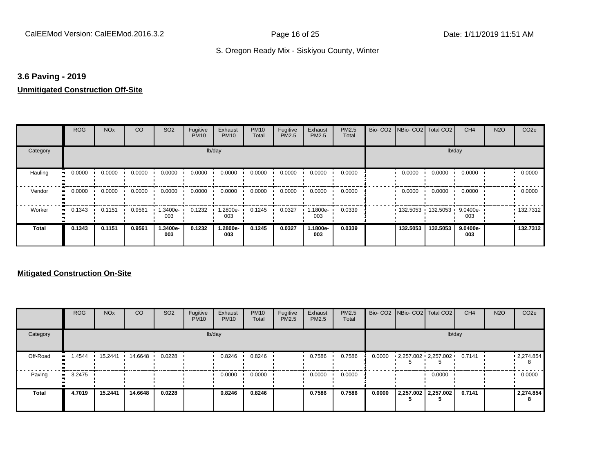#### **3.6 Paving - 2019**

### **Unmitigated Construction Off-Site**

|                     | <b>ROG</b>   | <b>NO<sub>x</sub></b> | CO     | SO <sub>2</sub> | Fugitive<br><b>PM10</b> | Exhaust<br><b>PM10</b> | <b>PM10</b><br>Total | Fugitive<br>PM2.5 | Exhaust<br>PM2.5 | PM2.5<br>Total | Bio-CO <sub>2</sub> | NBio- CO2   Total CO2 |          | CH <sub>4</sub>    | <b>N2O</b> | CO <sub>2e</sub> |
|---------------------|--------------|-----------------------|--------|-----------------|-------------------------|------------------------|----------------------|-------------------|------------------|----------------|---------------------|-----------------------|----------|--------------------|------------|------------------|
| Category            |              |                       |        |                 | lb/day                  |                        |                      |                   |                  |                |                     |                       |          | lb/day             |            |                  |
| Hauling             | 0.0000       | 0.0000                | 0.0000 | 0.0000          | 0.0000                  | 0.0000                 | 0.0000               | 0.0000            | 0.0000           | 0.0000         |                     | 0.0000                | 0.0000   | 0.0000             |            | 0.0000           |
| Vendor<br>$\bullet$ | 0.0000       | 0.0000                | 0.0000 | 0.0000          | 0.0000                  | 0.0000                 | 0.0000               | 0.0000            | 0.0000           | 0.0000         |                     | 0.0000                | 0.0000   | 0.0000             |            | 0.0000           |
| Worker              | 0.1343<br>ш. | 0.1151                | 0.9561 | 1.3400e-<br>003 | 0.1232                  | 1.2800e-<br>003        | 0.1245               | 0.0327            | .1800e-<br>003   | 0.0339         |                     | 132.5053              | 132.5053 | 9.0400e-<br>003    |            | .132.7312        |
| <b>Total</b>        | 0.1343       | 0.1151                | 0.9561 | 1.3400e-<br>003 | 0.1232                  | 1.2800e-<br>003        | 0.1245               | 0.0327            | 1.1800e-<br>003  | 0.0339         |                     | 132.5053              | 132.5053 | $9.0400e -$<br>003 |            | 132.7312         |

|              | <b>ROG</b>    | <b>NO<sub>x</sub></b> | <b>CO</b> | SO <sub>2</sub> | Fugitive<br><b>PM10</b> | Exhaust<br><b>PM10</b> | <b>PM10</b><br>Total | Fugitive<br><b>PM2.5</b> | Exhaust<br><b>PM2.5</b> | <b>PM2.5</b><br>Total |        | Bio- CO2   NBio- CO2   Total CO2 | CH <sub>4</sub> | <b>N2O</b> | CO <sub>2e</sub>       |
|--------------|---------------|-----------------------|-----------|-----------------|-------------------------|------------------------|----------------------|--------------------------|-------------------------|-----------------------|--------|----------------------------------|-----------------|------------|------------------------|
| Category     |               |                       |           |                 |                         | lb/day                 |                      |                          |                         |                       |        | lb/day                           |                 |            |                        |
| Off-Road     | .4544<br>.    | 15.2441               | 14.6648   | 0.0228          |                         | 0.8246                 | 0.8246               |                          | 0.7586                  | 0.7586                | 0.0000 | $2,257.002$ $2,257.002$          | 0.7141          |            | $\cdot$ 2,274.854<br>8 |
| Paving       | 3.2475<br>. . |                       |           |                 |                         | 0.0000                 | 0.0000               |                          | 0.0000                  | 0.0000                |        | 0.0000                           |                 |            | 0.0000                 |
| <b>Total</b> | 4.7019        | 15.2441               | 14.6648   | 0.0228          |                         | 0.8246                 | 0.8246               |                          | 0.7586                  | 0.7586                | 0.0000 | 2,257.002 2,257.002              | 0.7141          |            | 2,274.854<br>8         |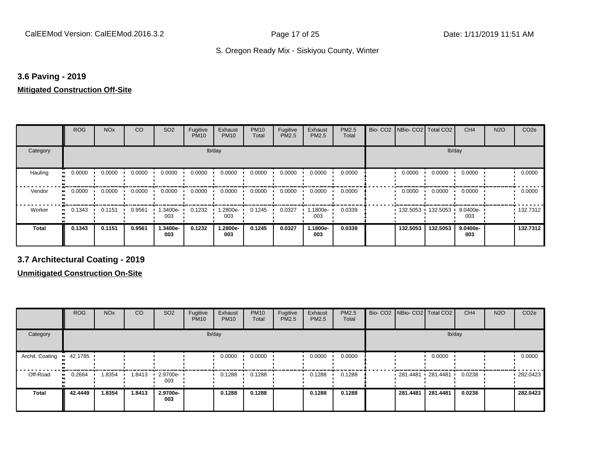#### **3.6 Paving - 2019**

#### **Mitigated Construction Off-Site**

|          | <b>ROG</b> | <b>NO<sub>x</sub></b> | CO     | SO <sub>2</sub> | Fugitive<br><b>PM10</b> | Exhaust<br><b>PM10</b> | <b>PM10</b><br>Total | Fugitive<br>PM2.5 | Exhaust<br>PM2.5 | PM2.5<br>Total | Bio-CO <sub>2</sub> | NBio- CO2   Total CO2 |                     | CH <sub>4</sub> | <b>N2O</b> | CO <sub>2e</sub> |
|----------|------------|-----------------------|--------|-----------------|-------------------------|------------------------|----------------------|-------------------|------------------|----------------|---------------------|-----------------------|---------------------|-----------------|------------|------------------|
| Category |            |                       |        |                 | lb/day                  |                        |                      |                   |                  |                |                     |                       | lb/day              |                 |            |                  |
| Hauling  | 0.0000     | 0.0000                | 0.0000 | 0.0000          | 0.0000                  | 0.0000                 | 0.0000               | 0.0000            | 0.0000           | 0.0000         |                     | 0.0000                | 0.0000              | 0.0000          |            | 0.0000           |
| Vendor   | 0.0000     | 0.0000                | 0.0000 | 0.0000          | 0.0000                  | 0.0000                 | 0.0000               | 0.0000            | 0.0000           | 0.0000         |                     | 0.0000                | 0.0000              | 0.0000          |            | 0.0000           |
| Worker   | 0.1343     | 0.1151                | 0.9561 | 1.3400e-<br>003 | 0.1232                  | 1.2800e-<br>003        | 0.1245               | 0.0327            | 1.1800e-<br>003  | 0.0339         |                     |                       | 132.5053 132.5053 1 | 9.0400e-<br>003 |            | 132.7312         |
| Total    | 0.1343     | 0.1151                | 0.9561 | 1.3400e-<br>003 | 0.1232                  | 1.2800e-<br>003        | 0.1245               | 0.0327            | 1.1800e-<br>003  | 0.0339         |                     | 132.5053              | 132.5053            | 9.0400e-<br>003 |            | 132.7312         |

**3.7 Architectural Coating - 2019**

|                         | <b>ROG</b>          | <b>NO<sub>x</sub></b> | CO     | SO <sub>2</sub>    | Fugitive<br><b>PM10</b> | Exhaust<br><b>PM10</b> | <b>PM10</b><br>Total | Fugitive<br><b>PM2.5</b> | Exhaust<br><b>PM2.5</b> | <b>PM2.5</b><br>Total | Bio- CO2 NBio- CO2 Total CO2 |          | CH <sub>4</sub> | <b>N2O</b> | CO <sub>2e</sub> |
|-------------------------|---------------------|-----------------------|--------|--------------------|-------------------------|------------------------|----------------------|--------------------------|-------------------------|-----------------------|------------------------------|----------|-----------------|------------|------------------|
| Category                |                     |                       |        |                    |                         | lb/day                 |                      |                          |                         |                       |                              | lb/day   |                 |            |                  |
| Archit. Coating 12.1785 |                     |                       |        |                    |                         | 0.0000                 | 0.0000               |                          | 0.0000                  | 0.0000                |                              | 0.0000   |                 |            | 0.0000           |
| Off-Road                | 0.2664<br>$\bullet$ | 1.8354                | 1.8413 | $-2.9700e-$<br>003 |                         | 0.1288                 | 0.1288               |                          | 0.1288                  | 0.1288                | 281.4481 281.4481            |          | 0.0238          |            | 282.0423         |
| <b>Total</b>            | 42,4449             | 1.8354                | 1.8413 | 2.9700e-<br>003    |                         | 0.1288                 | 0.1288               |                          | 0.1288                  | 0.1288                | 281.4481                     | 281.4481 | 0.0238          |            | 282.0423         |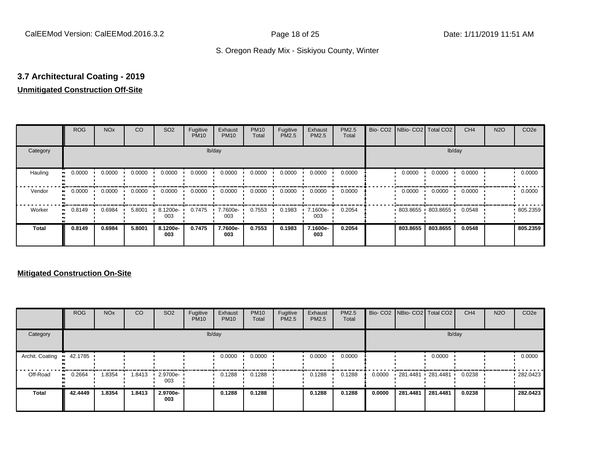## **3.7 Architectural Coating - 2019**

### **Unmitigated Construction Off-Site**

|              | <b>ROG</b>          | <b>NO<sub>x</sub></b> | CO     | SO <sub>2</sub> | Fugitive<br><b>PM10</b> | Exhaust<br><b>PM10</b> | <b>PM10</b><br>Total | Fugitive<br>PM2.5 | Exhaust<br>PM2.5 | PM2.5<br>Total | Bio- CO2   NBio- CO2   Total CO2 |                   | CH <sub>4</sub> | <b>N2O</b> | CO <sub>2e</sub> |
|--------------|---------------------|-----------------------|--------|-----------------|-------------------------|------------------------|----------------------|-------------------|------------------|----------------|----------------------------------|-------------------|-----------------|------------|------------------|
| Category     |                     |                       |        |                 |                         | lb/day                 |                      |                   |                  |                |                                  | lb/day            |                 |            |                  |
| Hauling      | 0.0000              | 0.0000                | 0.0000 | 0.0000          | 0.0000                  | 0.0000                 | 0.0000               | 0.0000            | 0.0000           | 0.0000         | 0.0000                           | 0.0000            | 0.0000          |            | 0.0000           |
| Vendor       | 0.0000<br>$\bullet$ | 0.0000                | 0.0000 | 0.0000          | 0.0000                  | 0.0000                 | 0.0000               | 0.0000            | 0.0000           | 0.0000         | 0.0000                           | 0.0000            | 0.0000          |            | 0.0000           |
| Worker       | 0.8149<br>$\bullet$ | 0.6984                | 5.8001 | 8.1200e-<br>003 | 0.7475                  | 7.7600e-<br>003        | 0.7553               | 0.1983            | 7.1600e-<br>003  | 0.2054         |                                  | 803.8655 803.8655 | 0.0548          |            | 805.2359         |
| <b>Total</b> | 0.8149              | 0.6984                | 5.8001 | 8.1200e-<br>003 | 0.7475                  | 7.7600e-<br>003        | 0.7553               | 0.1983            | 7.1600e-<br>003  | 0.2054         | 803.8655                         | 803.8655          | 0.0548          |            | 805.2359         |

|                 | <b>ROG</b>   | <b>NO<sub>x</sub></b> | CO     | SO <sub>2</sub>         | Fugitive<br><b>PM10</b> | Exhaust<br><b>PM10</b> | <b>PM10</b><br>Total | Fugitive<br><b>PM2.5</b> | Exhaust<br><b>PM2.5</b> | <b>PM2.5</b><br>Total |        |          | Bio- CO2   NBio- CO2   Total CO2 | CH <sub>4</sub> | <b>N2O</b> | CO <sub>2e</sub> |
|-----------------|--------------|-----------------------|--------|-------------------------|-------------------------|------------------------|----------------------|--------------------------|-------------------------|-----------------------|--------|----------|----------------------------------|-----------------|------------|------------------|
| Category        |              |                       |        |                         |                         | lb/day                 |                      |                          |                         |                       |        |          | lb/day                           |                 |            |                  |
| Archit. Coating | 42.1785      |                       |        |                         |                         | 0.0000                 | 0.0000               |                          | 0.0000                  | 0.0000                |        |          | 0.0000                           |                 |            | 0.0000           |
| Off-Road        | 0.2664<br>ш. | 1.8354                | 1.8413 | $\cdot$ 2.9700e-<br>003 |                         | 0.1288                 | 0.1288               |                          | 0.1288                  | 0.1288                | 0.0000 |          | 281.4481 281.4481 '              | 0.0238          |            | $-282.0423$      |
| <b>Total</b>    | 42.4449      | 1.8354                | 1.8413 | 2.9700e-<br>003         |                         | 0.1288                 | 0.1288               |                          | 0.1288                  | 0.1288                | 0.0000 | 281.4481 | 281.4481                         | 0.0238          |            | 282.0423         |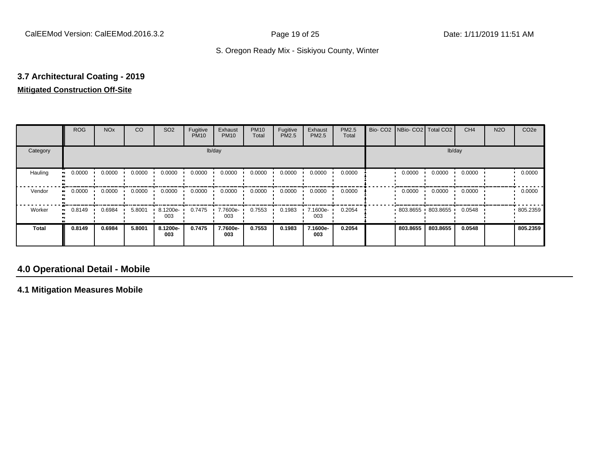### **3.7 Architectural Coating - 2019 Mitigated Construction Off-Site**

|                            | <b>ROG</b> | <b>NO<sub>x</sub></b> | CO     | SO <sub>2</sub> | Fugitive<br><b>PM10</b> | Exhaust<br><b>PM10</b> | <b>PM10</b><br>Total | Fugitive<br><b>PM2.5</b> | Exhaust<br>PM2.5 | <b>PM2.5</b><br>Total | Bio- CO2 NBio- CO2 Total CO2 |          | CH <sub>4</sub> | <b>N2O</b> | CO <sub>2e</sub> |
|----------------------------|------------|-----------------------|--------|-----------------|-------------------------|------------------------|----------------------|--------------------------|------------------|-----------------------|------------------------------|----------|-----------------|------------|------------------|
| Category                   |            |                       |        |                 | lb/day                  |                        |                      |                          |                  |                       |                              | lb/day   |                 |            |                  |
| Hauling<br>$\bullet$       | 0.0000     | 0.0000                | 0.0000 | 0.0000          | 0.0000                  | 0.0000                 | 0.0000               | 0.0000                   | 0.0000           | 0.0000                | 0.0000                       | 0.0000   | 0.0000          |            | 0.0000           |
| Vendor                     | 0.0000     | 0.0000                | 0.0000 | 0.0000          | 0.0000                  | 0.0000                 | 0.0000               | 0.0000                   | 0.0000           | 0.0000                | 0.0000                       | 0.0000   | 0.0000          |            | 0.0000           |
| Worker<br>$\bullet\bullet$ | 0.8149     | 0.6984                | 5.8001 | 8.1200e-<br>003 | 0.7475                  | 7.7600e-<br>003        | 0.7553               | 0.1983                   | 7.1600e-<br>003  | 0.2054                | 803.8655 803.8655            |          | 0.0548          |            | .805.2359        |
| <b>Total</b>               | 0.8149     | 0.6984                | 5.8001 | 8.1200e-<br>003 | 0.7475                  | 7.7600e-<br>003        | 0.7553               | 0.1983                   | 7.1600e-<br>003  | 0.2054                | 803.8655                     | 803.8655 | 0.0548          |            | 805.2359         |

### **4.0 Operational Detail - Mobile**

**4.1 Mitigation Measures Mobile**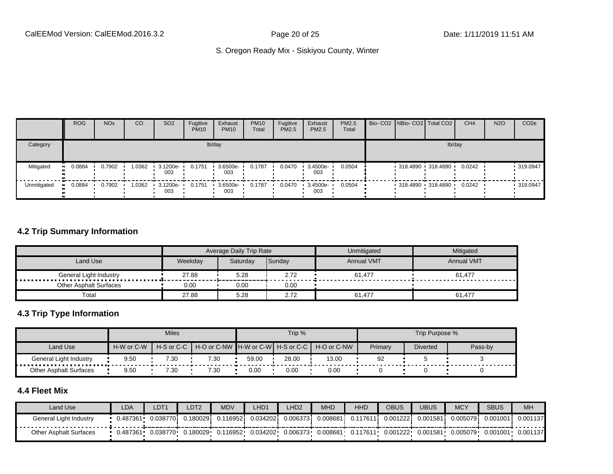|             | <b>ROG</b> | <b>NO<sub>x</sub></b> | CO     | SO <sub>2</sub>    | Fugitive<br><b>PM10</b> | Exhaust<br><b>PM10</b> | <b>PM10</b><br>Total | Fugitive<br><b>PM2.5</b> | Exhaust<br>PM2.5        | <b>PM2.5</b><br>Total |  | Bio- CO2 NBio- CO2 Total CO2 | CH <sub>4</sub> | <b>N2O</b> | CO <sub>2e</sub> |
|-------------|------------|-----------------------|--------|--------------------|-------------------------|------------------------|----------------------|--------------------------|-------------------------|-----------------------|--|------------------------------|-----------------|------------|------------------|
| Category    |            |                       |        |                    |                         | lb/day                 |                      |                          |                         |                       |  |                              | lb/day          |            |                  |
| Mitigated   | 0.0884     | 0.7902                | 1.0362 | 3.1200e-<br>003    | 0.1751                  | 3.6500e-<br>003        | 0.1787               | 0.0470                   | $\cdot$ 3.4500e-<br>003 | 0.0504                |  | 318.4890 318.4890            | 0.0242          |            | 319.0947         |
| Unmitigated | 0.0884     | 0.7902                | 1.0362 | $-3.1200e-$<br>003 | 0.1751                  | $3.6500e-$<br>003      | 0.1787               | 0.0470                   | $\cdot$ 3.4500e-<br>003 | 0.0504                |  | 318.4890 318.4890            | 0.0242          |            | .319.0947        |

#### **4.2 Trip Summary Information**

|                               |         | Average Daily Trip Rate |        | Unmitigated       | Mitigated         |
|-------------------------------|---------|-------------------------|--------|-------------------|-------------------|
| Land Use                      | Weekdav | Saturday                | Sunday | <b>Annual VMT</b> | <b>Annual VMT</b> |
|                               | 27.88   | 5.28                    | 2.72   | 61,477            | 61,477            |
| <b>Other Asphalt Surfaces</b> | 0.00    | 0.00                    | 0.00   |                   |                   |
| Total                         | 27.88   | 5.28                    | 2.72   | 61,477            | 61.477            |

#### **4.3 Trip Type Information**

|                        |            | <b>Miles</b>   |                                   |       | Trip % |             |         | Trip Purpose %  |         |
|------------------------|------------|----------------|-----------------------------------|-------|--------|-------------|---------|-----------------|---------|
| Land Use               | H-W or C-W | $H-S$ or $C-C$ | H-O or C-NW H-W or C-W H-S or C-C |       |        | H-O or C-NW | Primary | <b>Diverted</b> | Pass-by |
| General Light Industry | 9.50       | 7.30           | 7.30                              | 59.00 | 28.00  | 13.00       | 92      |                 |         |
| Other Asphalt Surfaces | 9.50       | 7.30           | 7.30                              | 0.00  | 0.00   | 0.00        |         |                 |         |

### **4.4 Fleet Mix**

| Land Use                      | LDA      | DT1       | DT2      | <b>MDV</b> | LHD1     | LHD <sub>2</sub> | <b>MHD</b>   | <b>HHD</b> | OBUS      | JBUS     | <b>MCY</b> | <b>SBUS</b> | <b>MH</b> |
|-------------------------------|----------|-----------|----------|------------|----------|------------------|--------------|------------|-----------|----------|------------|-------------|-----------|
| General Light Industry        | 0.487361 | 0.0387701 | 0.180029 | .116952i   | 0.034202 | 0.0063731        | $0.008681$ i | 0.117611   | 0.001222i | 0.001581 | 0.005079   | 0.001001    | 0.001137  |
| <b>Other Asphalt Surfaces</b> | 0.487361 | 0.038770  | 0.180029 | 0.116952   | 0.034202 | 0.006373         | 0.008681     | 0.117611   | 0.001222  | 0.001581 | 0.005079   | 0.001001    | 0.001137  |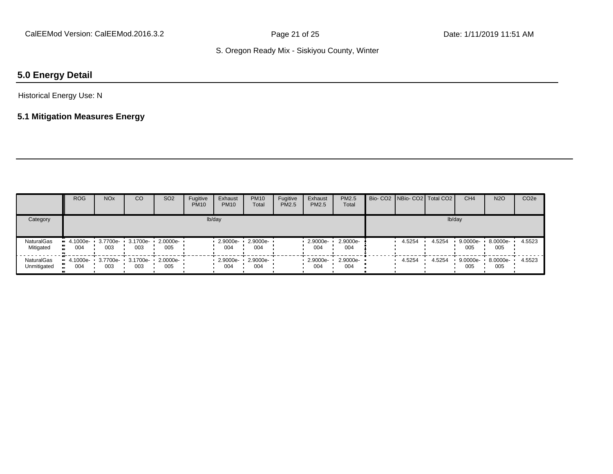## **5.0 Energy Detail**

#### Historical Energy Use: N

#### **5.1 Mitigation Measures Energy**

|                           | <b>ROG</b>      | <b>NO<sub>x</sub></b>             | CO  | SO <sub>2</sub>                   | Fugitive<br><b>PM10</b> | Exhaust<br><b>PM10</b> | <b>PM10</b><br>Total | Fugitive<br>PM2.5 | Exhaust<br>PM2.5 | <b>PM2.5</b><br>Total | Bio- CO2   NBio- CO2   Total CO2 |        | CH <sub>4</sub> | <b>N2O</b>      | CO <sub>2e</sub> |
|---------------------------|-----------------|-----------------------------------|-----|-----------------------------------|-------------------------|------------------------|----------------------|-------------------|------------------|-----------------------|----------------------------------|--------|-----------------|-----------------|------------------|
| Category                  |                 |                                   |     |                                   |                         | lb/day                 |                      |                   |                  |                       |                                  | lb/day |                 |                 |                  |
| NaturalGas<br>Mitigated   | 4.1000e-<br>004 | 003                               | 003 | 3.7700e- 3.1700e- 2.0000e-<br>005 |                         | $2.9000e-$<br>004      | 2.9000e-<br>004      |                   | 2.9000e-<br>004  | 2.9000e-<br>004       | 4.5254                           | 4.5254 | 9.0000e-<br>005 | 8.0000e-<br>005 | 4.5523           |
| NaturalGas<br>Unmitigated | 004             | 4.1000e- 3.7700e- 3.1700e-<br>003 | 003 | $\cdot$ 2.0000e- $\cdot$<br>005   |                         | 2.9000e-<br>004        | 2.9000e-<br>004      |                   | 2.9000e-<br>004  | $2.9000e-$<br>004     | 4.5254                           | 4.5254 | 9.0000e-<br>005 | 8.0000e-<br>005 | 4.5523           |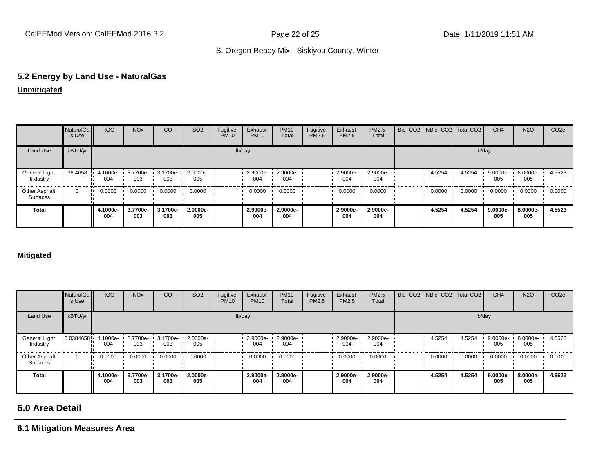# **5.2 Energy by Land Use - NaturalGas**

#### **Unmitigated**

|                                  | NaturalGa<br>s Use | <b>ROG</b>      | <b>NO<sub>x</sub></b> | CO              | SO <sub>2</sub> | Fugitive<br><b>PM10</b> | Exhaust<br><b>PM10</b> | <b>PM10</b><br>Total | Fugitive<br>PM2.5 | Exhaust<br>PM2.5 | PM2.5<br>Total  | Bio- CO2   NBio- CO2   Total CO2 |        | CH <sub>4</sub> | <b>N2O</b>      | CO <sub>2e</sub> |
|----------------------------------|--------------------|-----------------|-----------------------|-----------------|-----------------|-------------------------|------------------------|----------------------|-------------------|------------------|-----------------|----------------------------------|--------|-----------------|-----------------|------------------|
| Land Use                         | kBTU/yr            |                 |                       |                 |                 |                         | lb/day                 |                      |                   |                  |                 |                                  | lb/day |                 |                 |                  |
| General Light<br>Industry        | 38.4658            | 4.1000e-<br>004 | 3.7700e-<br>003       | 3.1700e-<br>003 | 2.0000e-<br>005 |                         | 2.9000e-<br>004        | 2.9000e-<br>004      |                   | 2.9000e-<br>004  | 2.9000e-<br>004 | 4.5254                           | 4.5254 | 9.0000e-<br>005 | 8.0000e-<br>005 | 4.5523           |
| <b>Other Asphalt</b><br>Surfaces | 0                  | 0.0000          | 0.0000                | 0.0000          | 0.0000          |                         | 0.0000                 | 0.0000               |                   | 0.0000           | 0.0000          | 0.0000                           | 0.0000 | 0.0000          | 0.0000          | 0.0000           |
| <b>Total</b>                     |                    | 4.1000e-<br>004 | 3.7700e-<br>003       | 3.1700e-<br>003 | 2.0000e-<br>005 |                         | 2.9000e-<br>004        | 2.9000e-<br>004      |                   | 2.9000e-<br>004  | 2.9000e-<br>004 | 4.5254                           | 4.5254 | 9.0000e-<br>005 | 8.0000e-<br>005 | 4.5523           |

#### **Mitigated**

|                           | NaturalGa<br>s Use    | <b>ROG</b>      | <b>NO<sub>x</sub></b> | CO              | SO <sub>2</sub> | Fugitive<br><b>PM10</b> | Exhaust<br><b>PM10</b> | <b>PM10</b><br>Total | Fugitive<br><b>PM2.5</b> | Exhaust<br>PM2.5 | PM2.5<br>Total  |        | Bio- CO2 NBio- CO2 Total CO2 | CH <sub>4</sub> | <b>N2O</b>      | CO <sub>2e</sub> |
|---------------------------|-----------------------|-----------------|-----------------------|-----------------|-----------------|-------------------------|------------------------|----------------------|--------------------------|------------------|-----------------|--------|------------------------------|-----------------|-----------------|------------------|
| Land Use                  | kBTU/yr               |                 |                       |                 |                 |                         | lb/day                 |                      |                          |                  |                 |        | lb/day                       |                 |                 |                  |
| General Light<br>Industry | $0.0384658 - 4.1000e$ | 004             | 3.7700e-<br>003       | 3.1700e-<br>003 | 2.0000e-<br>005 |                         | 2.9000e-<br>004        | 2.9000e-<br>004      |                          | 2.9000e-<br>004  | 2.9000e-<br>004 | 4.5254 | 4.5254                       | 9.0000e-<br>005 | 8.0000e-<br>005 | 4.5523           |
| Other Asphalt<br>Surfaces | $\Omega$              | 0.0000          | 0.0000                | 0.0000          | 0.0000          |                         | 0.0000                 | 0.0000               |                          | 0.0000           | 0.0000          | 0.0000 | 0.0000                       | 0.0000          | 0.0000          | 0.0000           |
| Total                     |                       | 4.1000e-<br>004 | 3.7700e-<br>003       | 3.1700e-<br>003 | 2.0000e-<br>005 |                         | 2.9000e-<br>004        | 2.9000e-<br>004      |                          | 2.9000e-<br>004  | 2.9000e-<br>004 | 4.5254 | 4.5254                       | 9.0000e-<br>005 | 8.0000e-<br>005 | 4.5523           |

## **6.0 Area Detail**

#### **6.1 Mitigation Measures Area**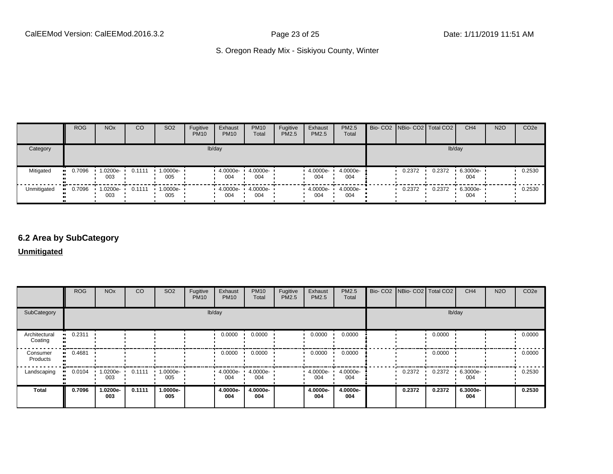|             | <b>ROG</b>            | <b>NO<sub>x</sub></b>   | <sub>CO</sub> | SO <sub>2</sub> | Fugitive<br><b>PM10</b> | Exhaust<br><b>PM10</b> | <b>PM10</b><br>Total | Fugitive<br>PM2.5 | Exhaust<br><b>PM2.5</b> | <b>PM2.5</b><br>Total | Bio- CO2   NBio- CO2   Total CO2 |        | CH <sub>4</sub> | <b>N2O</b> | CO <sub>2e</sub> |
|-------------|-----------------------|-------------------------|---------------|-----------------|-------------------------|------------------------|----------------------|-------------------|-------------------------|-----------------------|----------------------------------|--------|-----------------|------------|------------------|
| Category    |                       |                         |               |                 |                         | lb/day                 |                      |                   |                         |                       |                                  |        | lb/day          |            |                  |
| Mitigated   | $\blacksquare$ 0.7096 | 1.0200e-<br>003         | 0.1111        | --0000e-<br>005 |                         | 4.0000e-<br>004        | 4.0000e-<br>004      |                   | 4.0000e-<br>004         | 4.0000e-<br>004       | 0.2372                           | 0.2372 | 6.3000e-<br>004 |            | 0.2530           |
| Unmitigated | 0.7096                | $\cdot$ 1.0200e-<br>003 | 0.1111        | --0000e<br>005  |                         | $4.0000e -$<br>004     | 4.0000e-<br>004      |                   | 4.0000e-<br>004         | $4.0000e-$<br>004     | 0.2372                           | 0.2372 | 6.3000e-<br>004 |            | 0.2530           |

#### **6.2 Area by SubCategory**

**Unmitigated**

|                          | <b>ROG</b>   | <b>NO<sub>x</sub></b> | CO     | SO <sub>2</sub> | Fugitive<br><b>PM10</b> | Exhaust<br><b>PM10</b> | <b>PM10</b><br>Total | Fugitive<br>PM2.5 | Exhaust<br>PM2.5 | PM2.5<br>Total  | Bio- CO2   NBio- CO2   Total CO2 |        | CH <sub>4</sub> | <b>N2O</b> | CO <sub>2</sub> e |
|--------------------------|--------------|-----------------------|--------|-----------------|-------------------------|------------------------|----------------------|-------------------|------------------|-----------------|----------------------------------|--------|-----------------|------------|-------------------|
| SubCategory              |              |                       |        |                 | lb/day                  |                        |                      |                   |                  |                 |                                  | lb/day |                 |            |                   |
| Architectural<br>Coating | 0.2311       |                       |        |                 |                         | 0.0000                 | 0.0000               |                   | 0.0000           | 0.0000          |                                  | 0.0000 |                 |            | 0.0000            |
| Consumer<br>Products     | 0.4681<br>ш. |                       |        |                 |                         | 0.0000                 | 0.0000               |                   | 0.0000           | 0.0000          |                                  | 0.0000 |                 |            | 0.0000            |
| Landscaping              | 0.0104       | 1.0200e-<br>003       | 0.1111 | 1.0000e-<br>005 |                         | $-4.0000e-$<br>004     | 4.0000e-<br>004      |                   | 4.0000e-<br>004  | 4.0000e-<br>004 | 0.2372                           | 0.2372 | 6.3000e-<br>004 |            | 0.2530            |
| <b>Total</b>             | 0.7096       | 1.0200e-<br>003       | 0.1111 | 1.0000e-<br>005 |                         | 4.0000e-<br>004        | 4.0000e-<br>004      |                   | 4.0000e-<br>004  | 4.0000e-<br>004 | 0.2372                           | 0.2372 | 6.3000e-<br>004 |            | 0.2530            |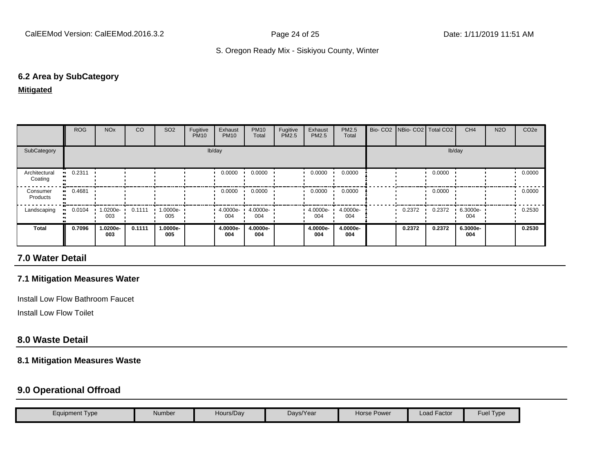#### **6.2 Area by SubCategory**

#### **Mitigated**

|                          | ROG                   | <b>NO<sub>x</sub></b> | CO.    | SO <sub>2</sub> | Fugitive<br><b>PM10</b> | Exhaust<br><b>PM10</b> | <b>PM10</b><br>Total | Fugitive<br>PM2.5 | Exhaust<br><b>PM2.5</b> | <b>PM2.5</b><br>Total | Bio- CO2   NBio- CO2   Total CO2 |        | CH <sub>4</sub> | <b>N2O</b> | CO <sub>2</sub> e |
|--------------------------|-----------------------|-----------------------|--------|-----------------|-------------------------|------------------------|----------------------|-------------------|-------------------------|-----------------------|----------------------------------|--------|-----------------|------------|-------------------|
| SubCategory              |                       |                       |        |                 |                         | lb/day                 |                      |                   |                         |                       |                                  | lb/day |                 |            |                   |
| Architectural<br>Coating | $-0.2311$             |                       |        |                 |                         | 0.0000                 | 0.0000               |                   | 0.0000                  | 0.0000                |                                  | 0.0000 |                 |            | 0.0000            |
| Consumer<br>Products     | $\blacksquare$ 0.4681 |                       |        |                 |                         | 0.0000                 | 0.0000               |                   | 0.0000                  | 0.0000                |                                  | 0.0000 |                 |            | 0.0000            |
| Landscaping              | 0.0104                | 1.0200e-<br>003       | 0.1111 | 1.0000e-<br>005 |                         | 4.0000e-<br>004        | 4.0000e-<br>004      |                   | 4.0000e-<br>004         | 4.0000e-<br>004       | 0.2372                           | 0.2372 | 6.3000e-<br>004 |            | 0.2530            |
| <b>Total</b>             | 0.7096                | 1.0200e-<br>003       | 0.1111 | 1.0000e-<br>005 |                         | 4.0000e-<br>004        | 4.0000e-<br>004      |                   | 4.0000e-<br>004         | 4.0000e-<br>004       | 0.2372                           | 0.2372 | 6.3000e-<br>004 |            | 0.2530            |

#### **7.0 Water Detail**

#### **7.1 Mitigation Measures Water**

Install Low Flow Bathroom Faucet

Install Low Flow Toilet

#### **8.0 Waste Detail**

#### **8.1 Mitigation Measures Waste**

#### **9.0 Operational Offroad**

| Equipment Type | Number | Hours/Day | Days/Year | Horse Power | Load Factor | -<br>Fuel<br>Type |
|----------------|--------|-----------|-----------|-------------|-------------|-------------------|